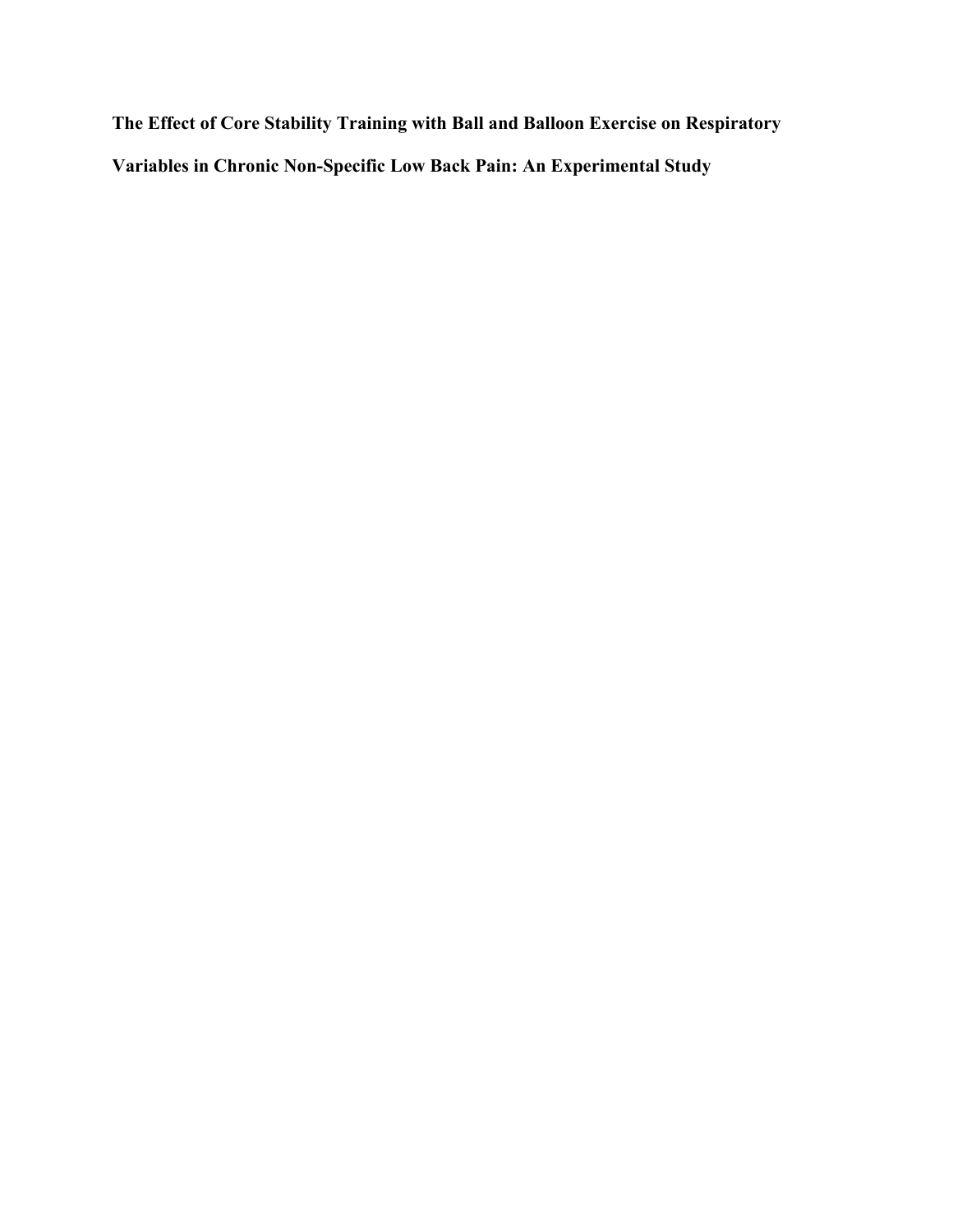**The Effect of Core Stability Training with Ball and Balloon Exercise on Respiratory Variables in Chronic Non-Specific Low Back Pain: An Experimental Study**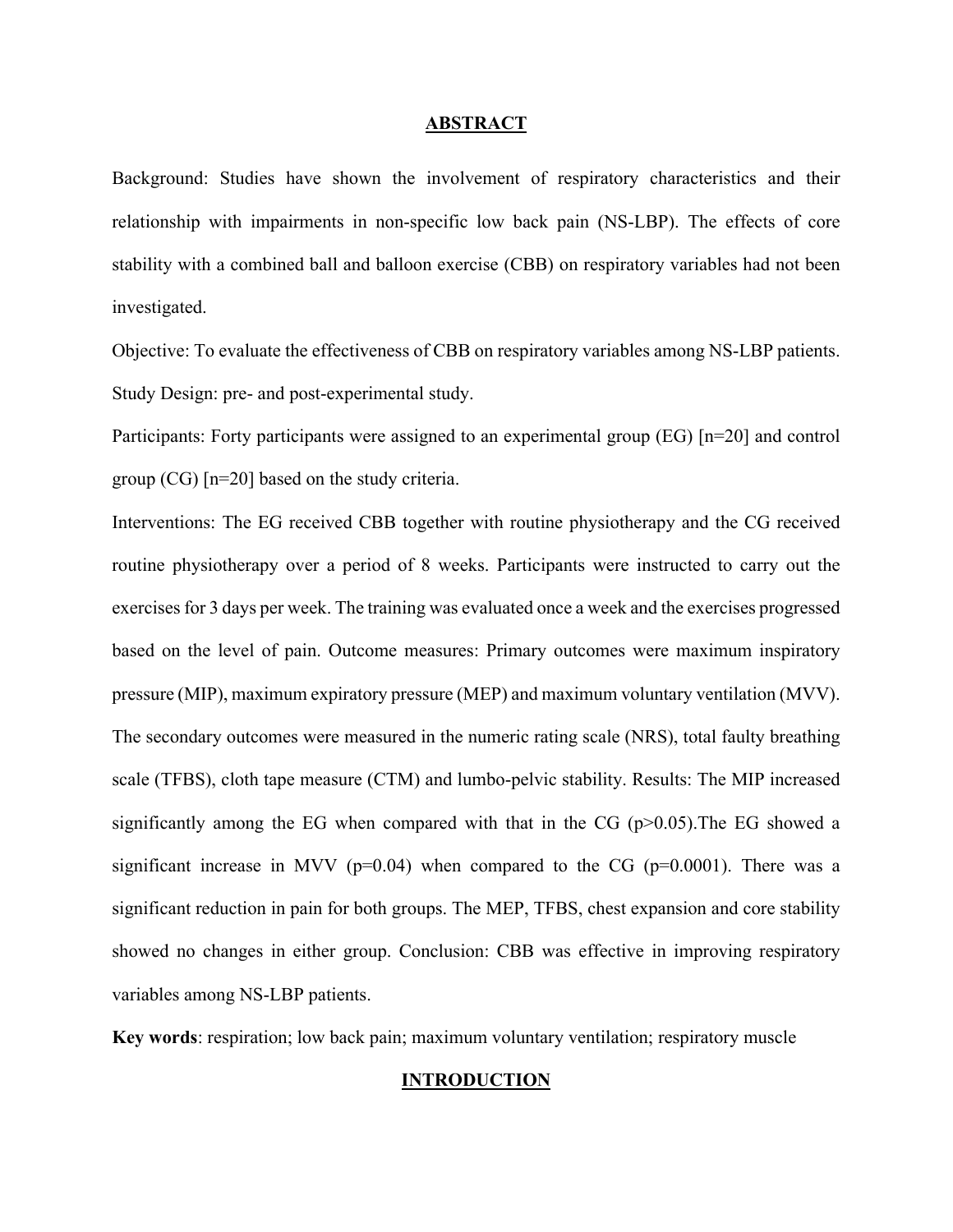#### **ABSTRACT**

Background: Studies have shown the involvement of respiratory characteristics and their relationship with impairments in non-specific low back pain (NS-LBP). The effects of core stability with a combined ball and balloon exercise (CBB) on respiratory variables had not been investigated.

Objective: To evaluate the effectiveness of CBB on respiratory variables among NS-LBP patients. Study Design: pre- and post-experimental study.

Participants: Forty participants were assigned to an experimental group (EG) [n=20] and control group (CG) [n=20] based on the study criteria.

Interventions: The EG received CBB together with routine physiotherapy and the CG received routine physiotherapy over a period of 8 weeks. Participants were instructed to carry out the exercises for 3 days per week. The training was evaluated once a week and the exercises progressed based on the level of pain. Outcome measures: Primary outcomes were maximum inspiratory pressure (MIP), maximum expiratory pressure (MEP) and maximum voluntary ventilation (MVV). The secondary outcomes were measured in the numeric rating scale (NRS), total faulty breathing scale (TFBS), cloth tape measure (CTM) and lumbo-pelvic stability. Results: The MIP increased significantly among the EG when compared with that in the CG  $(p>0.05)$ . The EG showed a significant increase in MVV ( $p=0.04$ ) when compared to the CG ( $p=0.0001$ ). There was a significant reduction in pain for both groups. The MEP, TFBS, chest expansion and core stability showed no changes in either group. Conclusion: CBB was effective in improving respiratory variables among NS-LBP patients.

**Key words**: respiration; low back pain; maximum voluntary ventilation; respiratory muscle

#### **INTRODUCTION**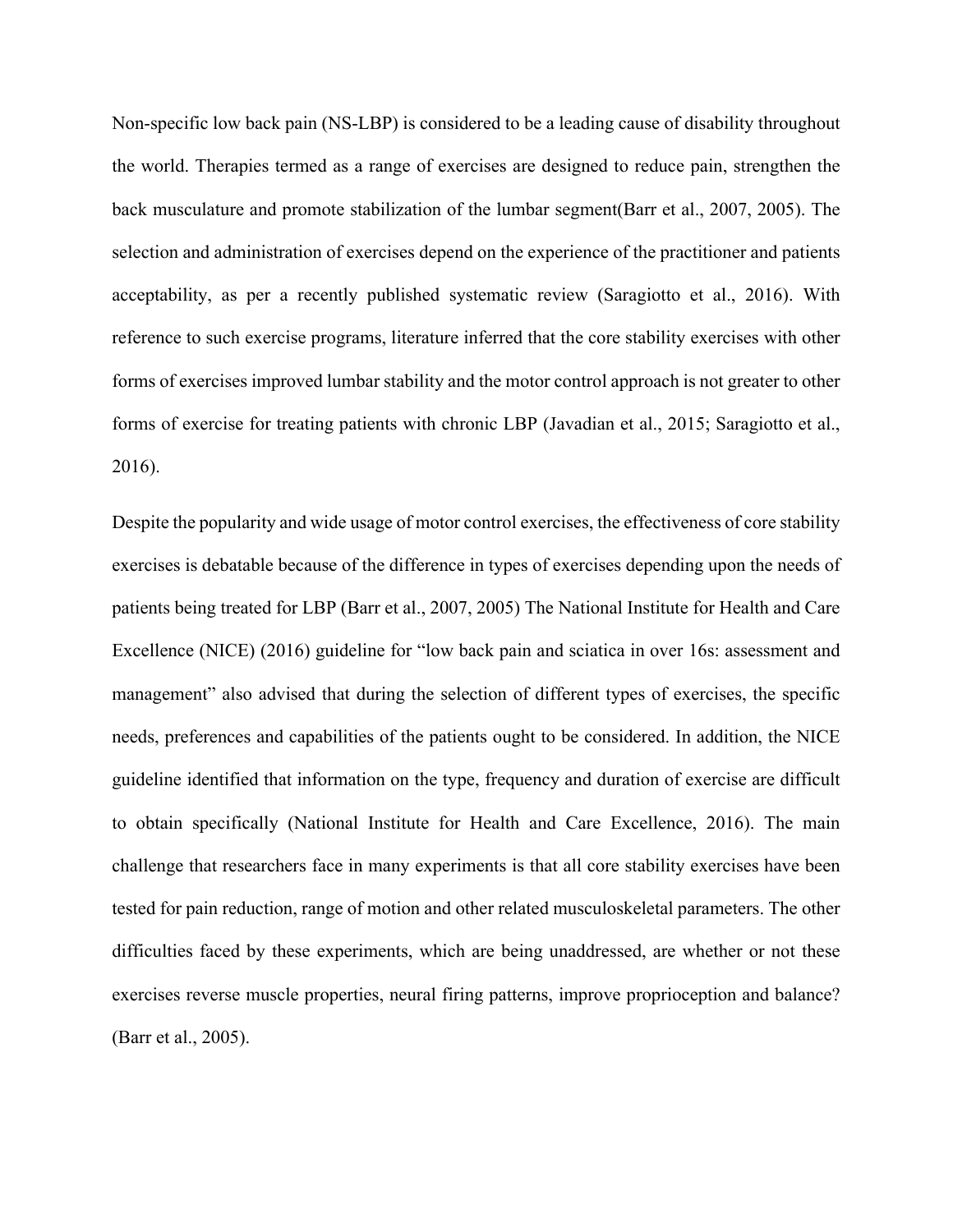Non-specific low back pain (NS-LBP) is considered to be a leading cause of disability throughout the world. Therapies termed as a range of exercises are designed to reduce pain, strengthen the back musculature and promote stabilization of the lumbar segment(Barr et al., 2007, 2005). The selection and administration of exercises depend on the experience of the practitioner and patients acceptability, as per a recently published systematic review (Saragiotto et al., 2016). With reference to such exercise programs, literature inferred that the core stability exercises with other forms of exercises improved lumbar stability and the motor control approach is not greater to other forms of exercise for treating patients with chronic LBP (Javadian et al., 2015; Saragiotto et al., 2016).

Despite the popularity and wide usage of motor control exercises, the effectiveness of core stability exercises is debatable because of the difference in types of exercises depending upon the needs of patients being treated for LBP (Barr et al., 2007, 2005) The National Institute for Health and Care Excellence (NICE) (2016) guideline for "low back pain and sciatica in over 16s: assessment and management" also advised that during the selection of different types of exercises, the specific needs, preferences and capabilities of the patients ought to be considered. In addition, the NICE guideline identified that information on the type, frequency and duration of exercise are difficult to obtain specifically (National Institute for Health and Care Excellence, 2016). The main challenge that researchers face in many experiments is that all core stability exercises have been tested for pain reduction, range of motion and other related musculoskeletal parameters. The other difficulties faced by these experiments, which are being unaddressed, are whether or not these exercises reverse muscle properties, neural firing patterns, improve proprioception and balance? (Barr et al., 2005).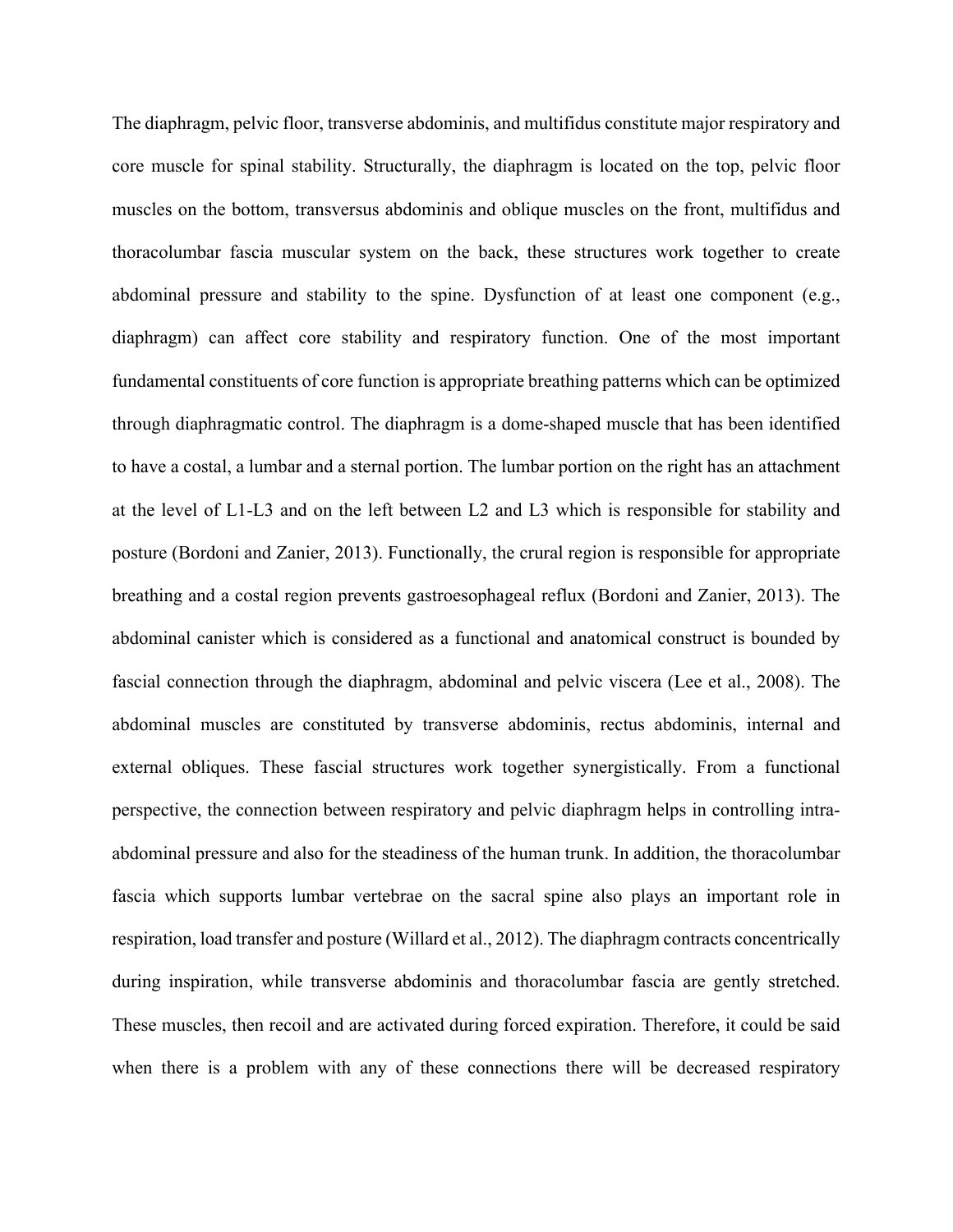The diaphragm, pelvic floor, transverse abdominis, and multifidus constitute major respiratory and core muscle for spinal stability. Structurally, the diaphragm is located on the top, pelvic floor muscles on the bottom, transversus abdominis and oblique muscles on the front, multifidus and thoracolumbar fascia muscular system on the back, these structures work together to create abdominal pressure and stability to the spine. Dysfunction of at least one component (e.g., diaphragm) can affect core stability and respiratory function. One of the most important fundamental constituents of core function is appropriate breathing patterns which can be optimized through diaphragmatic control. The diaphragm is a dome-shaped muscle that has been identified to have a costal, a lumbar and a sternal portion. The lumbar portion on the right has an attachment at the level of L1-L3 and on the left between L2 and L3 which is responsible for stability and posture (Bordoni and Zanier, 2013). Functionally, the crural region is responsible for appropriate breathing and a costal region prevents gastroesophageal reflux (Bordoni and Zanier, 2013). The abdominal canister which is considered as a functional and anatomical construct is bounded by fascial connection through the diaphragm, abdominal and pelvic viscera (Lee et al., 2008). The abdominal muscles are constituted by transverse abdominis, rectus abdominis, internal and external obliques. These fascial structures work together synergistically. From a functional perspective, the connection between respiratory and pelvic diaphragm helps in controlling intraabdominal pressure and also for the steadiness of the human trunk. In addition, the thoracolumbar fascia which supports lumbar vertebrae on the sacral spine also plays an important role in respiration, load transfer and posture (Willard et al., 2012). The diaphragm contracts concentrically during inspiration, while transverse abdominis and thoracolumbar fascia are gently stretched. These muscles, then recoil and are activated during forced expiration. Therefore, it could be said when there is a problem with any of these connections there will be decreased respiratory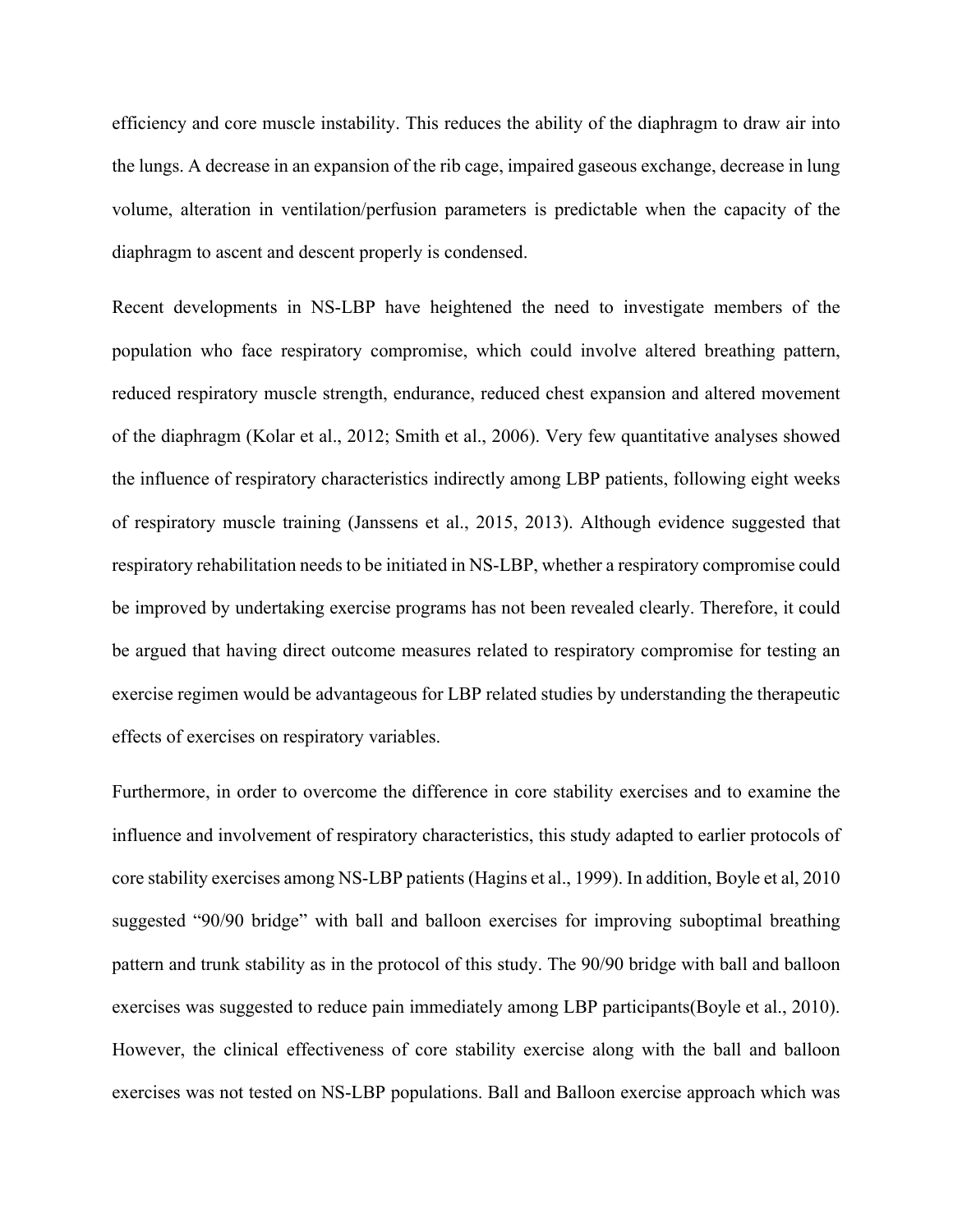efficiency and core muscle instability. This reduces the ability of the diaphragm to draw air into the lungs. A decrease in an expansion of the rib cage, impaired gaseous exchange, decrease in lung volume, alteration in ventilation/perfusion parameters is predictable when the capacity of the diaphragm to ascent and descent properly is condensed.

Recent developments in NS-LBP have heightened the need to investigate members of the population who face respiratory compromise, which could involve altered breathing pattern, reduced respiratory muscle strength, endurance, reduced chest expansion and altered movement of the diaphragm (Kolar et al., 2012; Smith et al., 2006). Very few quantitative analyses showed the influence of respiratory characteristics indirectly among LBP patients, following eight weeks of respiratory muscle training (Janssens et al., 2015, 2013). Although evidence suggested that respiratory rehabilitation needs to be initiated in NS-LBP, whether a respiratory compromise could be improved by undertaking exercise programs has not been revealed clearly. Therefore, it could be argued that having direct outcome measures related to respiratory compromise for testing an exercise regimen would be advantageous for LBP related studies by understanding the therapeutic effects of exercises on respiratory variables.

Furthermore, in order to overcome the difference in core stability exercises and to examine the influence and involvement of respiratory characteristics, this study adapted to earlier protocols of core stability exercises among NS-LBP patients (Hagins et al., 1999). In addition, Boyle et al, 2010 suggested "90/90 bridge" with ball and balloon exercises for improving suboptimal breathing pattern and trunk stability as in the protocol of this study. The 90/90 bridge with ball and balloon exercises was suggested to reduce pain immediately among LBP participants(Boyle et al., 2010). However, the clinical effectiveness of core stability exercise along with the ball and balloon exercises was not tested on NS-LBP populations. Ball and Balloon exercise approach which was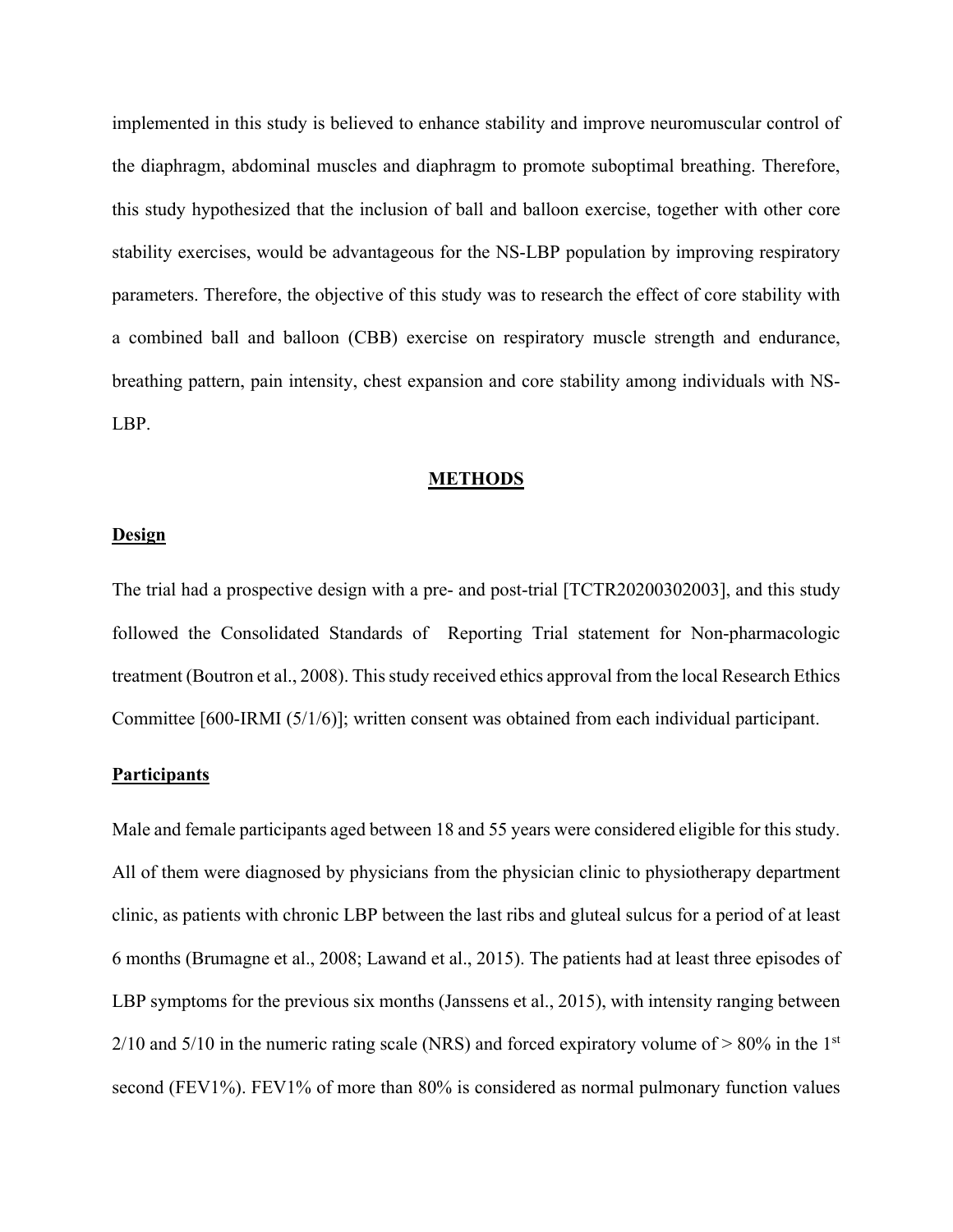implemented in this study is believed to enhance stability and improve neuromuscular control of the diaphragm, abdominal muscles and diaphragm to promote suboptimal breathing. Therefore, this study hypothesized that the inclusion of ball and balloon exercise, together with other core stability exercises, would be advantageous for the NS-LBP population by improving respiratory parameters. Therefore, the objective of this study was to research the effect of core stability with a combined ball and balloon (CBB) exercise on respiratory muscle strength and endurance, breathing pattern, pain intensity, chest expansion and core stability among individuals with NS-LBP.

#### **METHODS**

## **Design**

The trial had a prospective design with a pre- and post-trial [TCTR20200302003], and this study followed the Consolidated Standards of Reporting Trial statement for Non-pharmacologic treatment (Boutron et al., 2008). This study received ethics approval from the local Research Ethics Committee [600-IRMI (5/1/6)]; written consent was obtained from each individual participant.

### **Participants**

Male and female participants aged between 18 and 55 years were considered eligible for this study. All of them were diagnosed by physicians from the physician clinic to physiotherapy department clinic, as patients with chronic LBP between the last ribs and gluteal sulcus for a period of at least 6 months (Brumagne et al., 2008; Lawand et al., 2015). The patients had at least three episodes of LBP symptoms for the previous six months (Janssens et al., 2015), with intensity ranging between  $2/10$  and  $5/10$  in the numeric rating scale (NRS) and forced expiratory volume of  $> 80\%$  in the 1<sup>st</sup> second (FEV1%). FEV1% of more than 80% is considered as normal pulmonary function values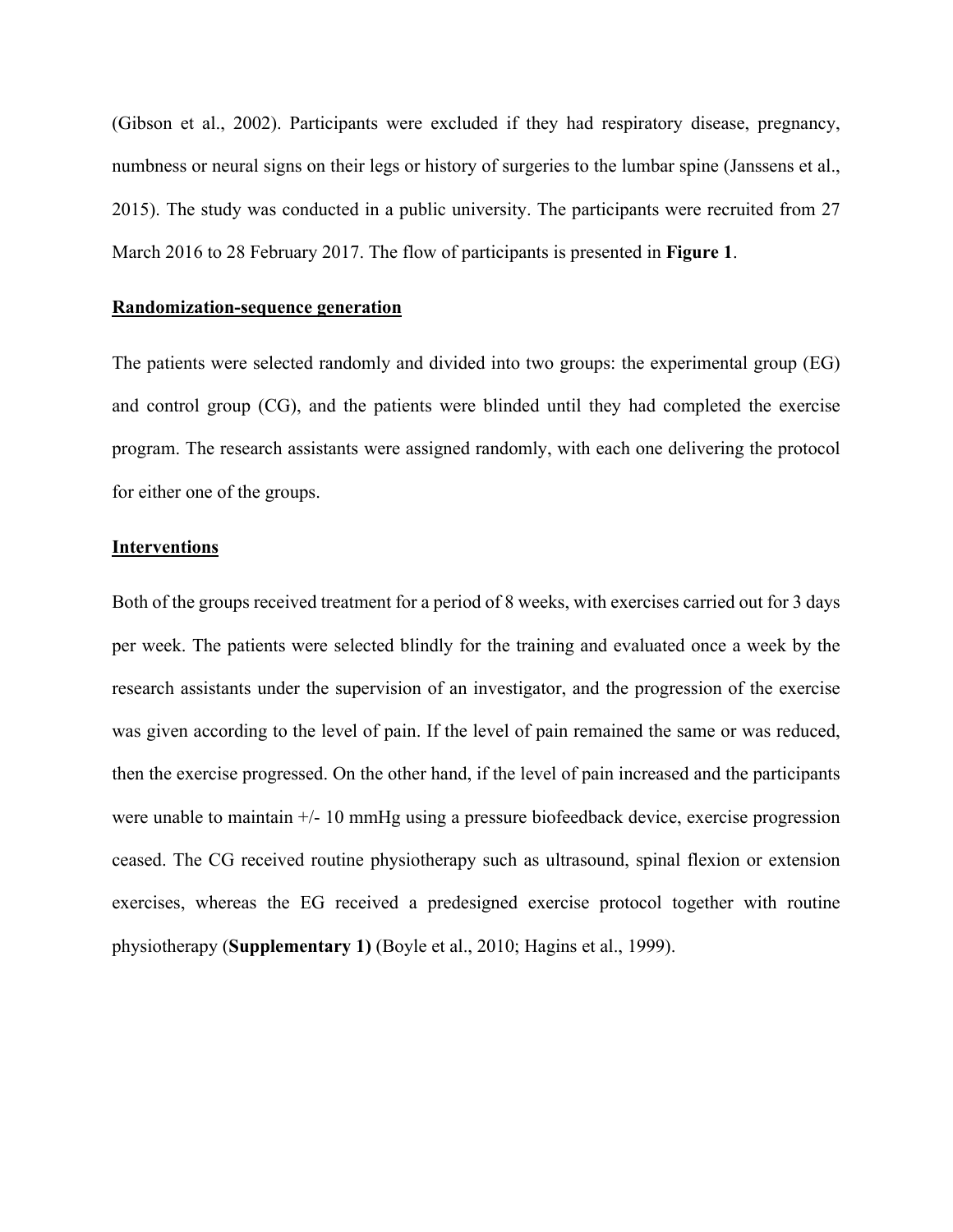(Gibson et al., 2002). Participants were excluded if they had respiratory disease, pregnancy, numbness or neural signs on their legs or history of surgeries to the lumbar spine (Janssens et al., 2015). The study was conducted in a public university. The participants were recruited from 27 March 2016 to 28 February 2017. The flow of participants is presented in **Figure 1**.

## **Randomization-sequence generation**

The patients were selected randomly and divided into two groups: the experimental group (EG) and control group (CG), and the patients were blinded until they had completed the exercise program. The research assistants were assigned randomly, with each one delivering the protocol for either one of the groups.

## **Interventions**

Both of the groups received treatment for a period of 8 weeks, with exercises carried out for 3 days per week. The patients were selected blindly for the training and evaluated once a week by the research assistants under the supervision of an investigator, and the progression of the exercise was given according to the level of pain. If the level of pain remained the same or was reduced, then the exercise progressed. On the other hand, if the level of pain increased and the participants were unable to maintain +/- 10 mmHg using a pressure biofeedback device, exercise progression ceased. The CG received routine physiotherapy such as ultrasound, spinal flexion or extension exercises, whereas the EG received a predesigned exercise protocol together with routine physiotherapy (**Supplementary 1)** (Boyle et al., 2010; Hagins et al., 1999).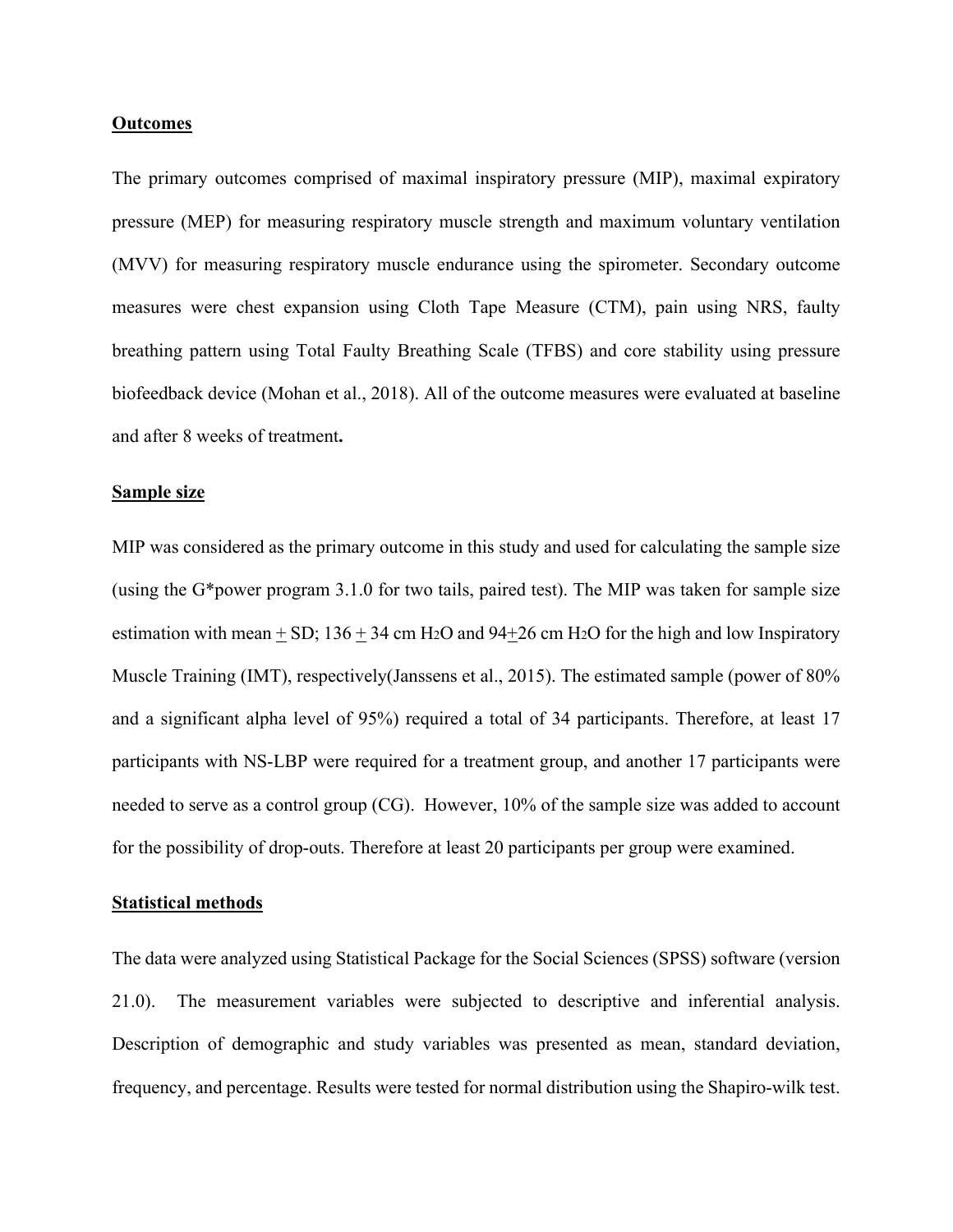#### **Outcomes**

The primary outcomes comprised of maximal inspiratory pressure (MIP), maximal expiratory pressure (MEP) for measuring respiratory muscle strength and maximum voluntary ventilation (MVV) for measuring respiratory muscle endurance using the spirometer. Secondary outcome measures were chest expansion using Cloth Tape Measure (CTM), pain using NRS, faulty breathing pattern using Total Faulty Breathing Scale (TFBS) and core stability using pressure biofeedback device (Mohan et al., 2018). All of the outcome measures were evaluated at baseline and after 8 weeks of treatment**.**

#### **Sample size**

MIP was considered as the primary outcome in this study and used for calculating the sample size (using the G\*power program 3.1.0 for two tails, paired test). The MIP was taken for sample size estimation with mean  $\pm$  SD; 136  $\pm$  34 cm H<sub>2</sub>O and 94 $\pm$ 26 cm H<sub>2</sub>O for the high and low Inspiratory Muscle Training (IMT), respectively(Janssens et al., 2015). The estimated sample (power of 80% and a significant alpha level of 95%) required a total of 34 participants. Therefore, at least 17 participants with NS-LBP were required for a treatment group, and another 17 participants were needed to serve as a control group (CG). However, 10% of the sample size was added to account for the possibility of drop-outs. Therefore at least 20 participants per group were examined.

## **Statistical methods**

The data were analyzed using Statistical Package for the Social Sciences (SPSS) software (version 21.0). The measurement variables were subjected to descriptive and inferential analysis. Description of demographic and study variables was presented as mean, standard deviation, frequency, and percentage. Results were tested for normal distribution using the Shapiro-wilk test.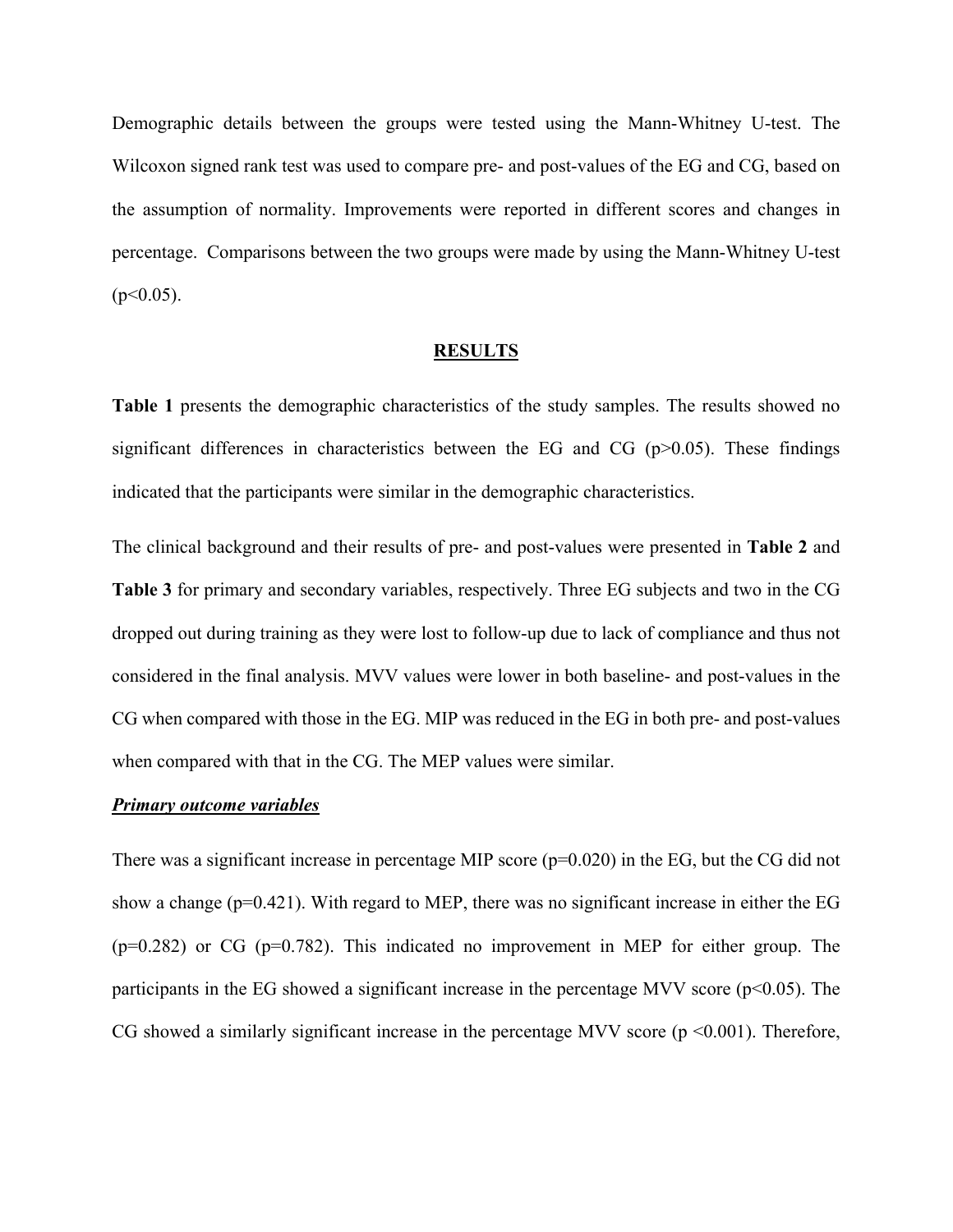Demographic details between the groups were tested using the Mann-Whitney U-test. The Wilcoxon signed rank test was used to compare pre- and post-values of the EG and CG, based on the assumption of normality. Improvements were reported in different scores and changes in percentage. Comparisons between the two groups were made by using the Mann-Whitney U-test  $(p<0.05)$ .

#### **RESULTS**

**Table 1** presents the demographic characteristics of the study samples. The results showed no significant differences in characteristics between the EG and CG  $(p>0.05)$ . These findings indicated that the participants were similar in the demographic characteristics.

The clinical background and their results of pre- and post-values were presented in **Table 2** and **Table 3** for primary and secondary variables, respectively. Three EG subjects and two in the CG dropped out during training as they were lost to follow-up due to lack of compliance and thus not considered in the final analysis. MVV values were lower in both baseline- and post-values in the CG when compared with those in the EG. MIP was reduced in the EG in both pre- and post-values when compared with that in the CG. The MEP values were similar.

#### *Primary outcome variables*

There was a significant increase in percentage MIP score ( $p=0.020$ ) in the EG, but the CG did not show a change ( $p=0.421$ ). With regard to MEP, there was no significant increase in either the EG  $(p=0.282)$  or CG  $(p=0.782)$ . This indicated no improvement in MEP for either group. The participants in the EG showed a significant increase in the percentage MVV score ( $p$ <0.05). The CG showed a similarly significant increase in the percentage MVV score  $(p \le 0.001)$ . Therefore,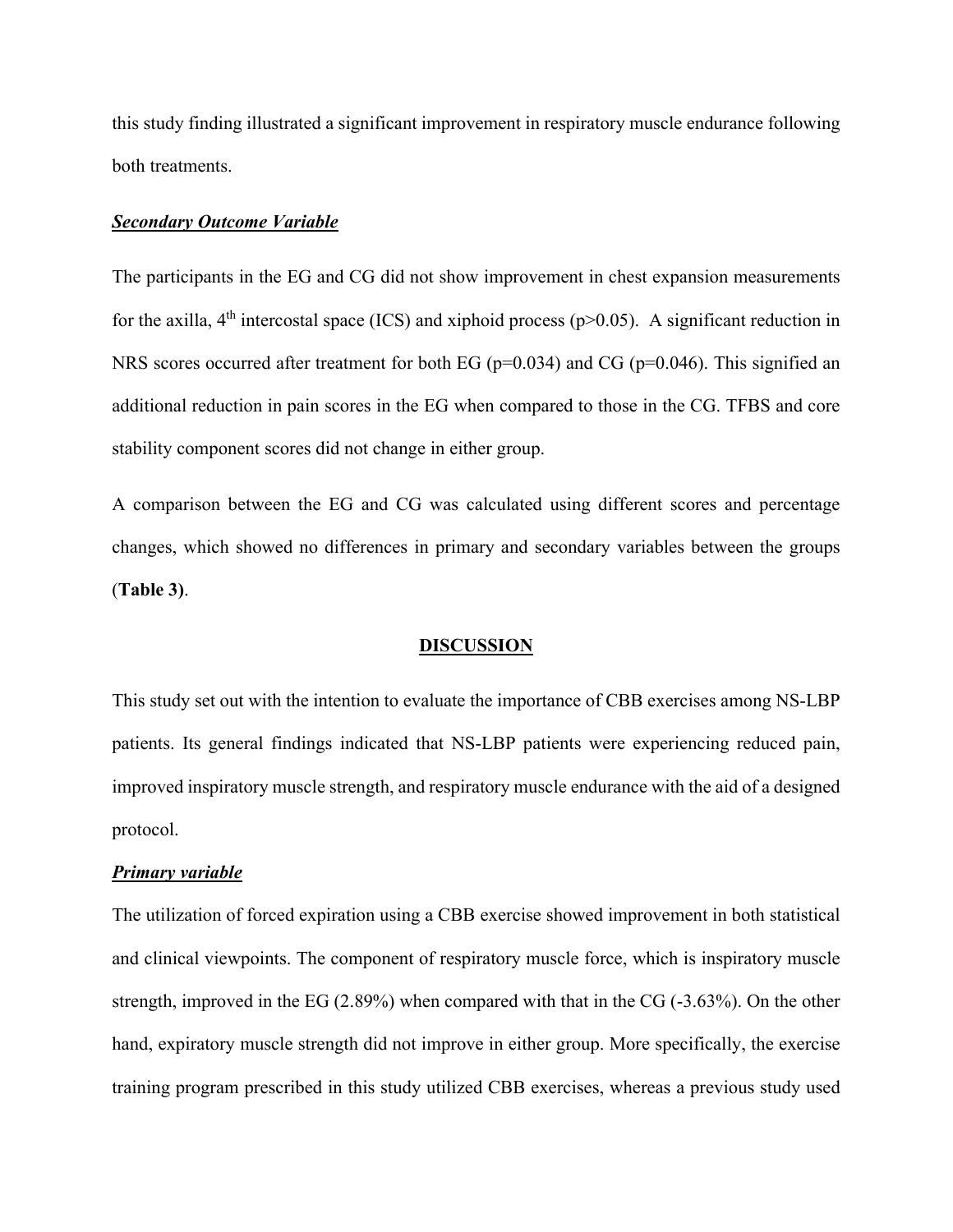this study finding illustrated a significant improvement in respiratory muscle endurance following both treatments.

#### *Secondary Outcome Variable*

The participants in the EG and CG did not show improvement in chest expansion measurements for the axilla,  $4<sup>th</sup>$  intercostal space (ICS) and xiphoid process (p>0.05). A significant reduction in NRS scores occurred after treatment for both EG ( $p=0.034$ ) and CG ( $p=0.046$ ). This signified an additional reduction in pain scores in the EG when compared to those in the CG. TFBS and core stability component scores did not change in either group.

A comparison between the EG and CG was calculated using different scores and percentage changes, which showed no differences in primary and secondary variables between the groups (**Table 3)**.

#### **DISCUSSION**

This study set out with the intention to evaluate the importance of CBB exercises among NS-LBP patients. Its general findings indicated that NS-LBP patients were experiencing reduced pain, improved inspiratory muscle strength, and respiratory muscle endurance with the aid of a designed protocol.

### *Primary variable*

The utilization of forced expiration using a CBB exercise showed improvement in both statistical and clinical viewpoints. The component of respiratory muscle force, which is inspiratory muscle strength, improved in the EG (2.89%) when compared with that in the CG (-3.63%). On the other hand, expiratory muscle strength did not improve in either group. More specifically, the exercise training program prescribed in this study utilized CBB exercises, whereas a previous study used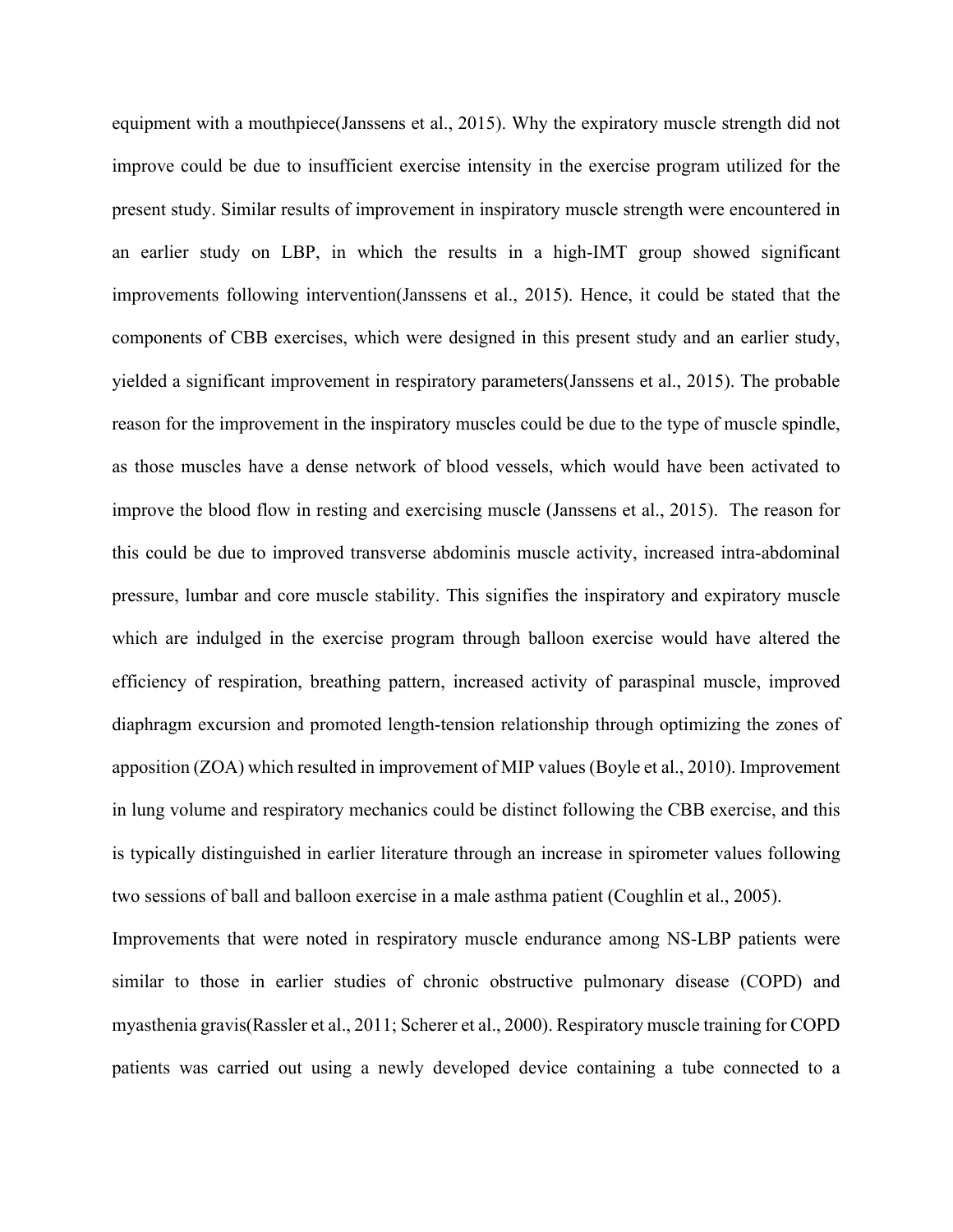equipment with a mouthpiece(Janssens et al., 2015). Why the expiratory muscle strength did not improve could be due to insufficient exercise intensity in the exercise program utilized for the present study. Similar results of improvement in inspiratory muscle strength were encountered in an earlier study on LBP, in which the results in a high-IMT group showed significant improvements following intervention(Janssens et al., 2015). Hence, it could be stated that the components of CBB exercises, which were designed in this present study and an earlier study, yielded a significant improvement in respiratory parameters(Janssens et al., 2015). The probable reason for the improvement in the inspiratory muscles could be due to the type of muscle spindle, as those muscles have a dense network of blood vessels, which would have been activated to improve the blood flow in resting and exercising muscle (Janssens et al., 2015). The reason for this could be due to improved transverse abdominis muscle activity, increased intra-abdominal pressure, lumbar and core muscle stability. This signifies the inspiratory and expiratory muscle which are indulged in the exercise program through balloon exercise would have altered the efficiency of respiration, breathing pattern, increased activity of paraspinal muscle, improved diaphragm excursion and promoted length-tension relationship through optimizing the zones of apposition (ZOA) which resulted in improvement of MIP values (Boyle et al., 2010). Improvement in lung volume and respiratory mechanics could be distinct following the CBB exercise, and this is typically distinguished in earlier literature through an increase in spirometer values following two sessions of ball and balloon exercise in a male asthma patient (Coughlin et al., 2005). Improvements that were noted in respiratory muscle endurance among NS-LBP patients were similar to those in earlier studies of chronic obstructive pulmonary disease (COPD) and

myasthenia gravis(Rassler et al., 2011; Scherer et al., 2000). Respiratory muscle training for COPD patients was carried out using a newly developed device containing a tube connected to a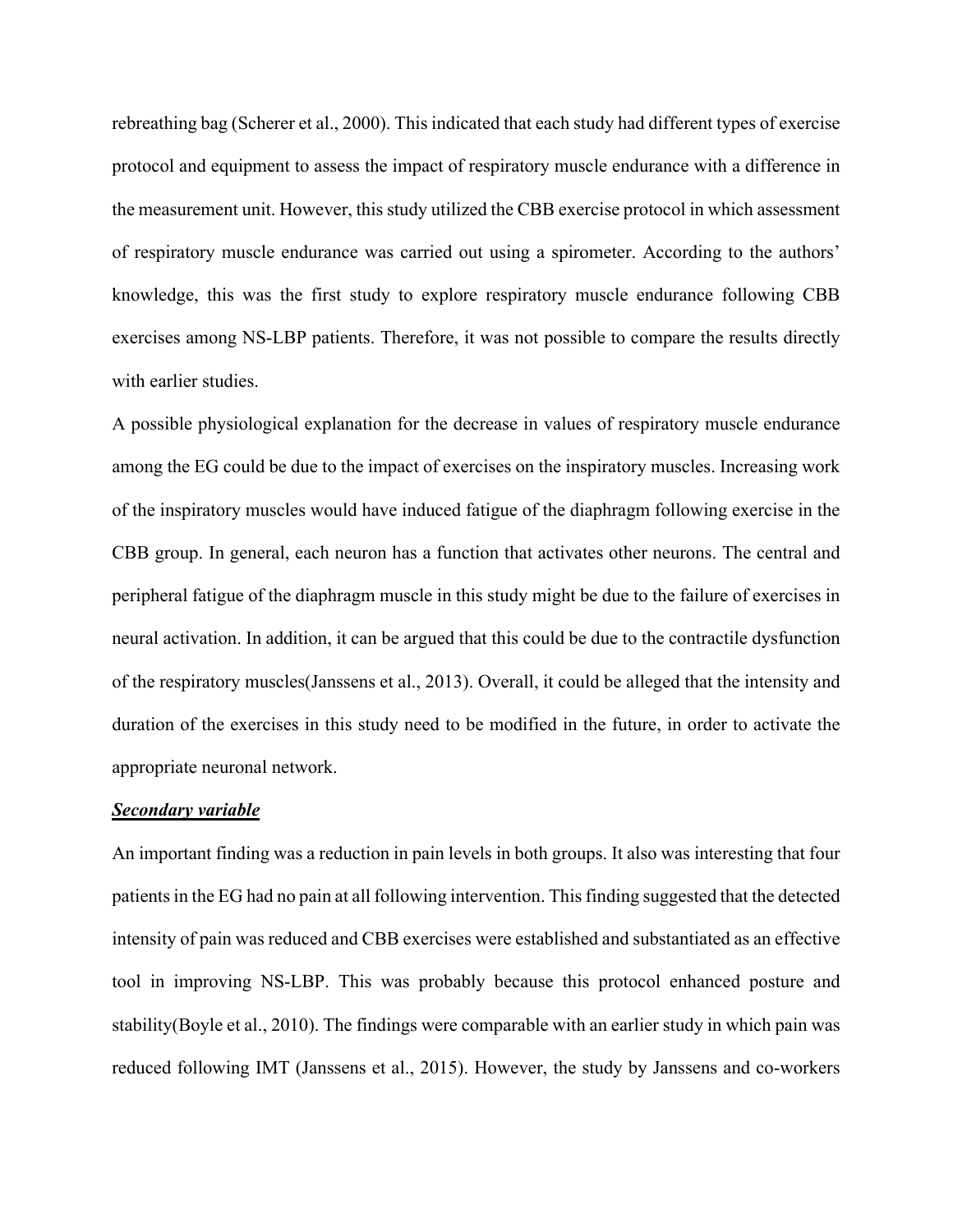rebreathing bag (Scherer et al., 2000). This indicated that each study had different types of exercise protocol and equipment to assess the impact of respiratory muscle endurance with a difference in the measurement unit. However, this study utilized the CBB exercise protocol in which assessment of respiratory muscle endurance was carried out using a spirometer. According to the authors' knowledge, this was the first study to explore respiratory muscle endurance following CBB exercises among NS-LBP patients. Therefore, it was not possible to compare the results directly with earlier studies.

A possible physiological explanation for the decrease in values of respiratory muscle endurance among the EG could be due to the impact of exercises on the inspiratory muscles. Increasing work of the inspiratory muscles would have induced fatigue of the diaphragm following exercise in the CBB group. In general, each neuron has a function that activates other neurons. The central and peripheral fatigue of the diaphragm muscle in this study might be due to the failure of exercises in neural activation. In addition, it can be argued that this could be due to the contractile dysfunction of the respiratory muscles(Janssens et al., 2013). Overall, it could be alleged that the intensity and duration of the exercises in this study need to be modified in the future, in order to activate the appropriate neuronal network.

#### *Secondary variable*

An important finding was a reduction in pain levels in both groups. It also was interesting that four patients in the EG had no pain at all following intervention. This finding suggested that the detected intensity of pain was reduced and CBB exercises were established and substantiated as an effective tool in improving NS-LBP. This was probably because this protocol enhanced posture and stability(Boyle et al., 2010). The findings were comparable with an earlier study in which pain was reduced following IMT (Janssens et al., 2015). However, the study by Janssens and co-workers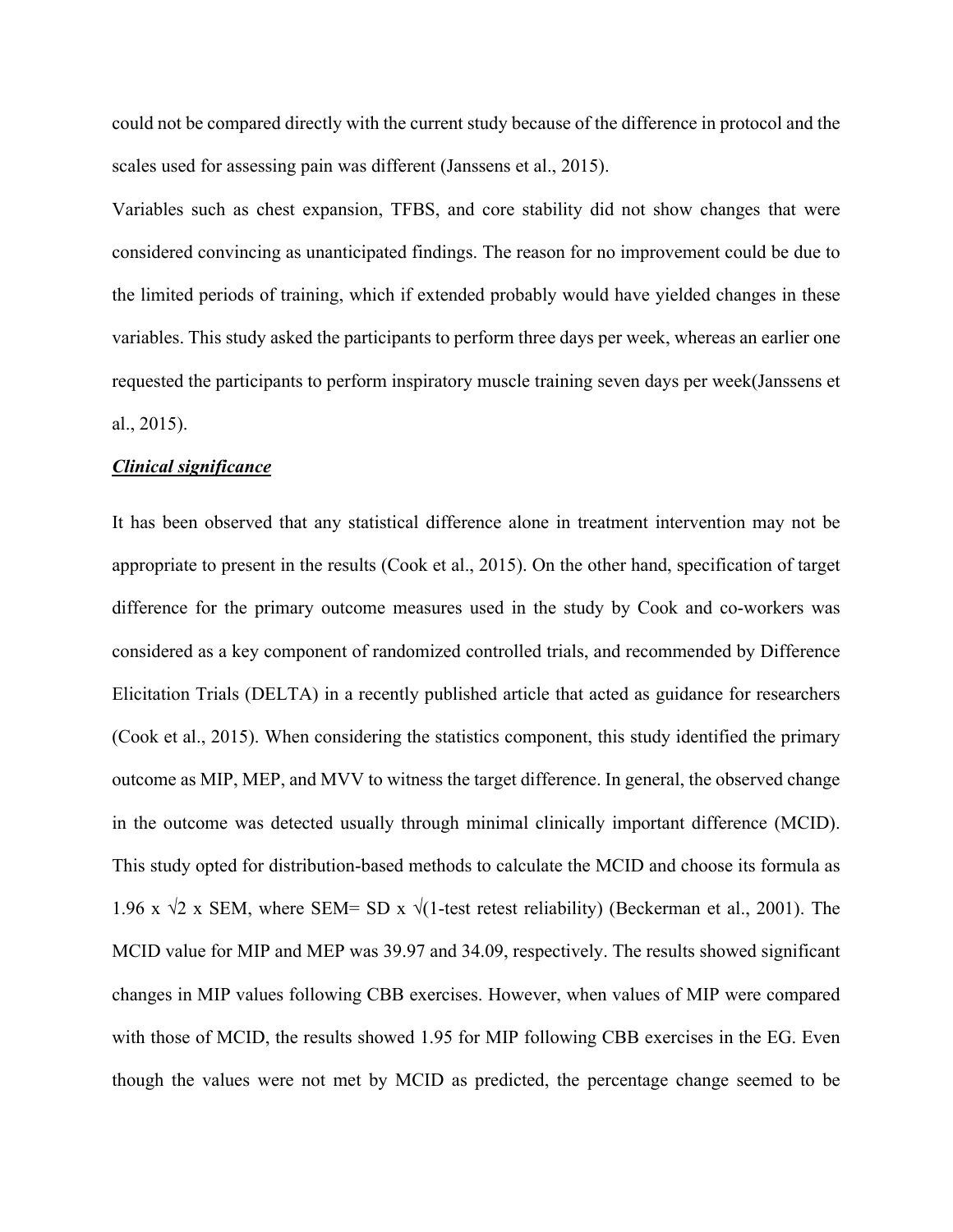could not be compared directly with the current study because of the difference in protocol and the scales used for assessing pain was different (Janssens et al., 2015).

Variables such as chest expansion, TFBS, and core stability did not show changes that were considered convincing as unanticipated findings. The reason for no improvement could be due to the limited periods of training, which if extended probably would have yielded changes in these variables. This study asked the participants to perform three days per week, whereas an earlier one requested the participants to perform inspiratory muscle training seven days per week(Janssens et al., 2015).

#### *Clinical significance*

It has been observed that any statistical difference alone in treatment intervention may not be appropriate to present in the results (Cook et al., 2015). On the other hand, specification of target difference for the primary outcome measures used in the study by Cook and co-workers was considered as a key component of randomized controlled trials, and recommended by Difference Elicitation Trials (DELTA) in a recently published article that acted as guidance for researchers (Cook et al., 2015). When considering the statistics component, this study identified the primary outcome as MIP, MEP, and MVV to witness the target difference. In general, the observed change in the outcome was detected usually through minimal clinically important difference (MCID). This study opted for distribution-based methods to calculate the MCID and choose its formula as 1.96 x  $\sqrt{2}$  x SEM, where SEM= SD x  $\sqrt{1}$ -test retest reliability) (Beckerman et al., 2001). The MCID value for MIP and MEP was 39.97 and 34.09, respectively. The results showed significant changes in MIP values following CBB exercises. However, when values of MIP were compared with those of MCID, the results showed 1.95 for MIP following CBB exercises in the EG. Even though the values were not met by MCID as predicted, the percentage change seemed to be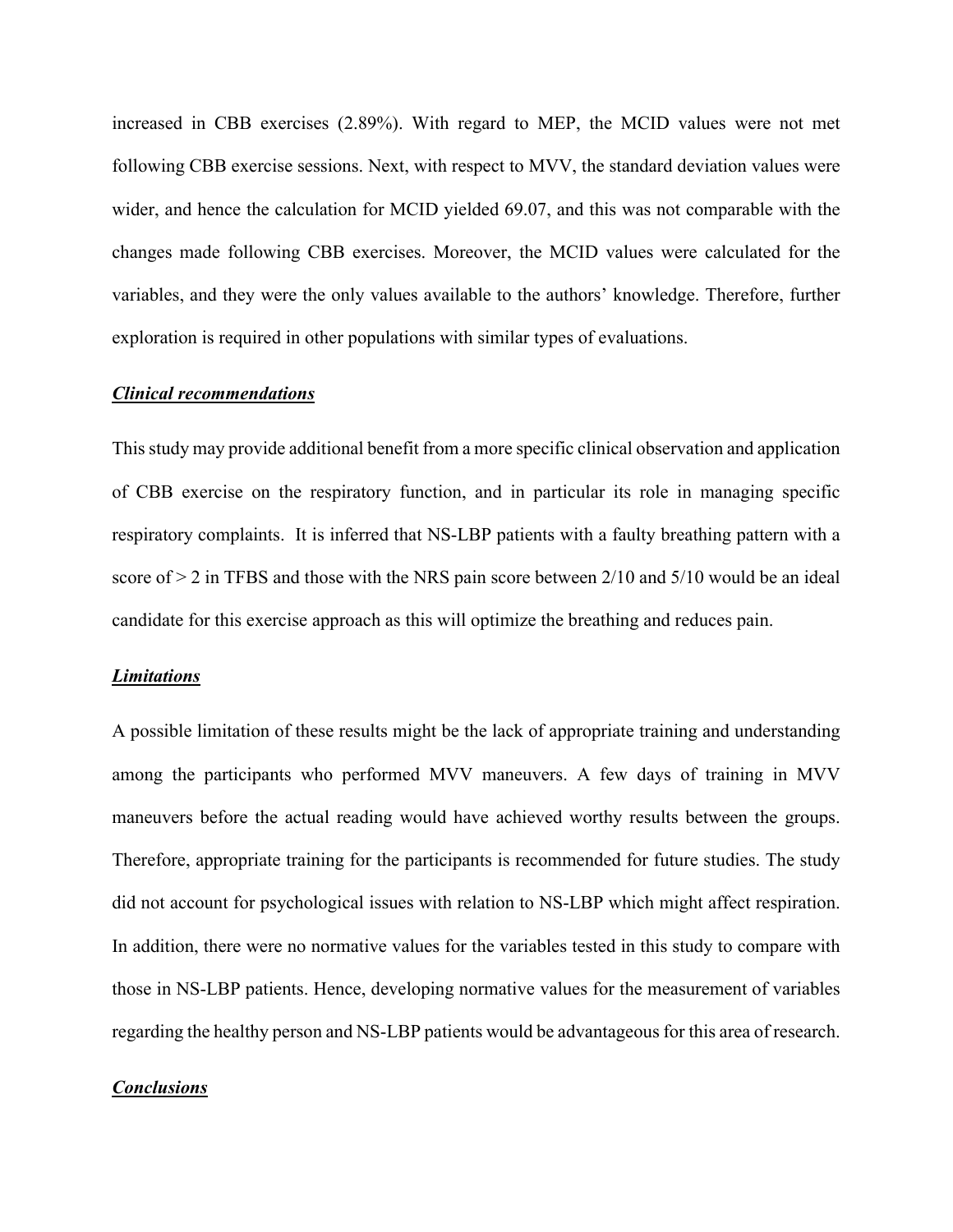increased in CBB exercises (2.89%). With regard to MEP, the MCID values were not met following CBB exercise sessions. Next, with respect to MVV, the standard deviation values were wider, and hence the calculation for MCID yielded 69.07, and this was not comparable with the changes made following CBB exercises. Moreover, the MCID values were calculated for the variables, and they were the only values available to the authors' knowledge. Therefore, further exploration is required in other populations with similar types of evaluations.

### *Clinical recommendations*

This study may provide additional benefit from a more specific clinical observation and application of CBB exercise on the respiratory function, and in particular its role in managing specific respiratory complaints. It is inferred that NS-LBP patients with a faulty breathing pattern with a score of  $>$  2 in TFBS and those with the NRS pain score between 2/10 and 5/10 would be an ideal candidate for this exercise approach as this will optimize the breathing and reduces pain.

#### *Limitations*

A possible limitation of these results might be the lack of appropriate training and understanding among the participants who performed MVV maneuvers. A few days of training in MVV maneuvers before the actual reading would have achieved worthy results between the groups. Therefore, appropriate training for the participants is recommended for future studies. The study did not account for psychological issues with relation to NS-LBP which might affect respiration. In addition, there were no normative values for the variables tested in this study to compare with those in NS-LBP patients. Hence, developing normative values for the measurement of variables regarding the healthy person and NS-LBP patients would be advantageous for this area of research.

### *Conclusions*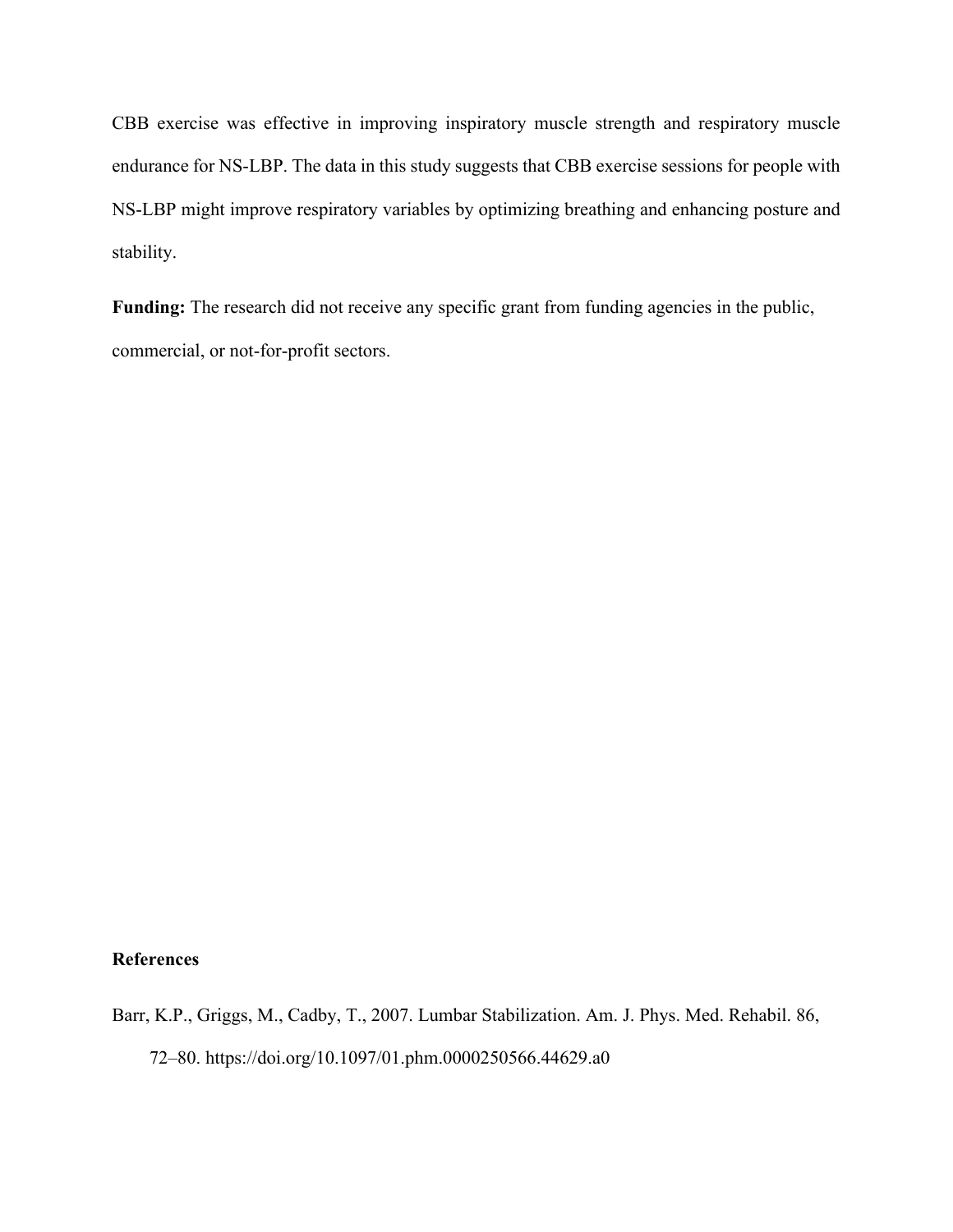CBB exercise was effective in improving inspiratory muscle strength and respiratory muscle endurance for NS-LBP. The data in this study suggests that CBB exercise sessions for people with NS-LBP might improve respiratory variables by optimizing breathing and enhancing posture and stability.

Funding: The research did not receive any specific grant from funding agencies in the public, commercial, or not-for-profit sectors.

## **References**

Barr, K.P., Griggs, M., Cadby, T., 2007. Lumbar Stabilization. Am. J. Phys. Med. Rehabil. 86, 72–80. https://doi.org/10.1097/01.phm.0000250566.44629.a0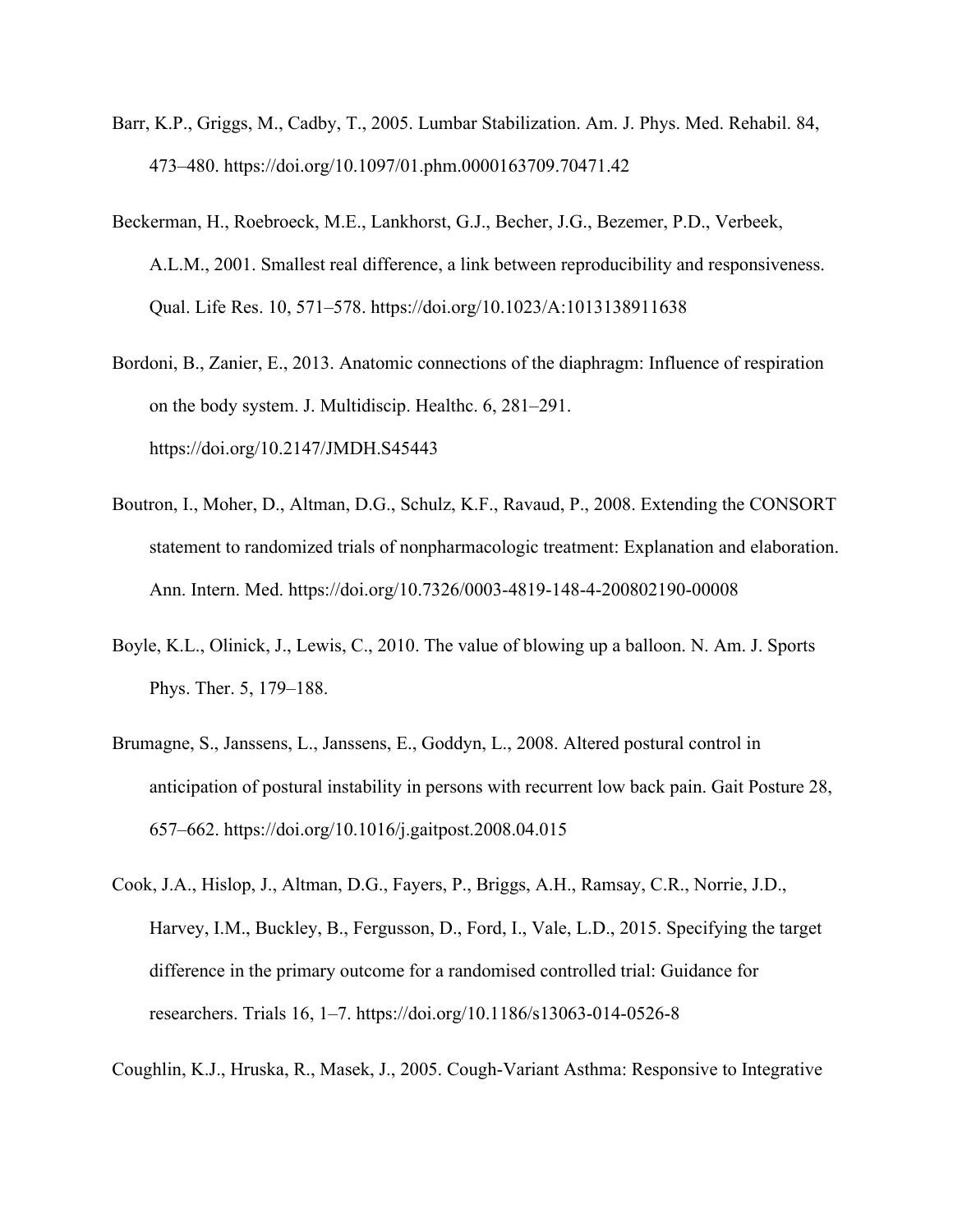- Barr, K.P., Griggs, M., Cadby, T., 2005. Lumbar Stabilization. Am. J. Phys. Med. Rehabil. 84, 473–480. https://doi.org/10.1097/01.phm.0000163709.70471.42
- Beckerman, H., Roebroeck, M.E., Lankhorst, G.J., Becher, J.G., Bezemer, P.D., Verbeek, A.L.M., 2001. Smallest real difference, a link between reproducibility and responsiveness. Qual. Life Res. 10, 571–578. https://doi.org/10.1023/A:1013138911638
- Bordoni, B., Zanier, E., 2013. Anatomic connections of the diaphragm: Influence of respiration on the body system. J. Multidiscip. Healthc. 6, 281–291. https://doi.org/10.2147/JMDH.S45443
- Boutron, I., Moher, D., Altman, D.G., Schulz, K.F., Ravaud, P., 2008. Extending the CONSORT statement to randomized trials of nonpharmacologic treatment: Explanation and elaboration. Ann. Intern. Med. https://doi.org/10.7326/0003-4819-148-4-200802190-00008
- Boyle, K.L., Olinick, J., Lewis, C., 2010. The value of blowing up a balloon. N. Am. J. Sports Phys. Ther. 5, 179–188.
- Brumagne, S., Janssens, L., Janssens, E., Goddyn, L., 2008. Altered postural control in anticipation of postural instability in persons with recurrent low back pain. Gait Posture 28, 657–662. https://doi.org/10.1016/j.gaitpost.2008.04.015
- Cook, J.A., Hislop, J., Altman, D.G., Fayers, P., Briggs, A.H., Ramsay, C.R., Norrie, J.D., Harvey, I.M., Buckley, B., Fergusson, D., Ford, I., Vale, L.D., 2015. Specifying the target difference in the primary outcome for a randomised controlled trial: Guidance for researchers. Trials 16, 1–7. https://doi.org/10.1186/s13063-014-0526-8

Coughlin, K.J., Hruska, R., Masek, J., 2005. Cough-Variant Asthma: Responsive to Integrative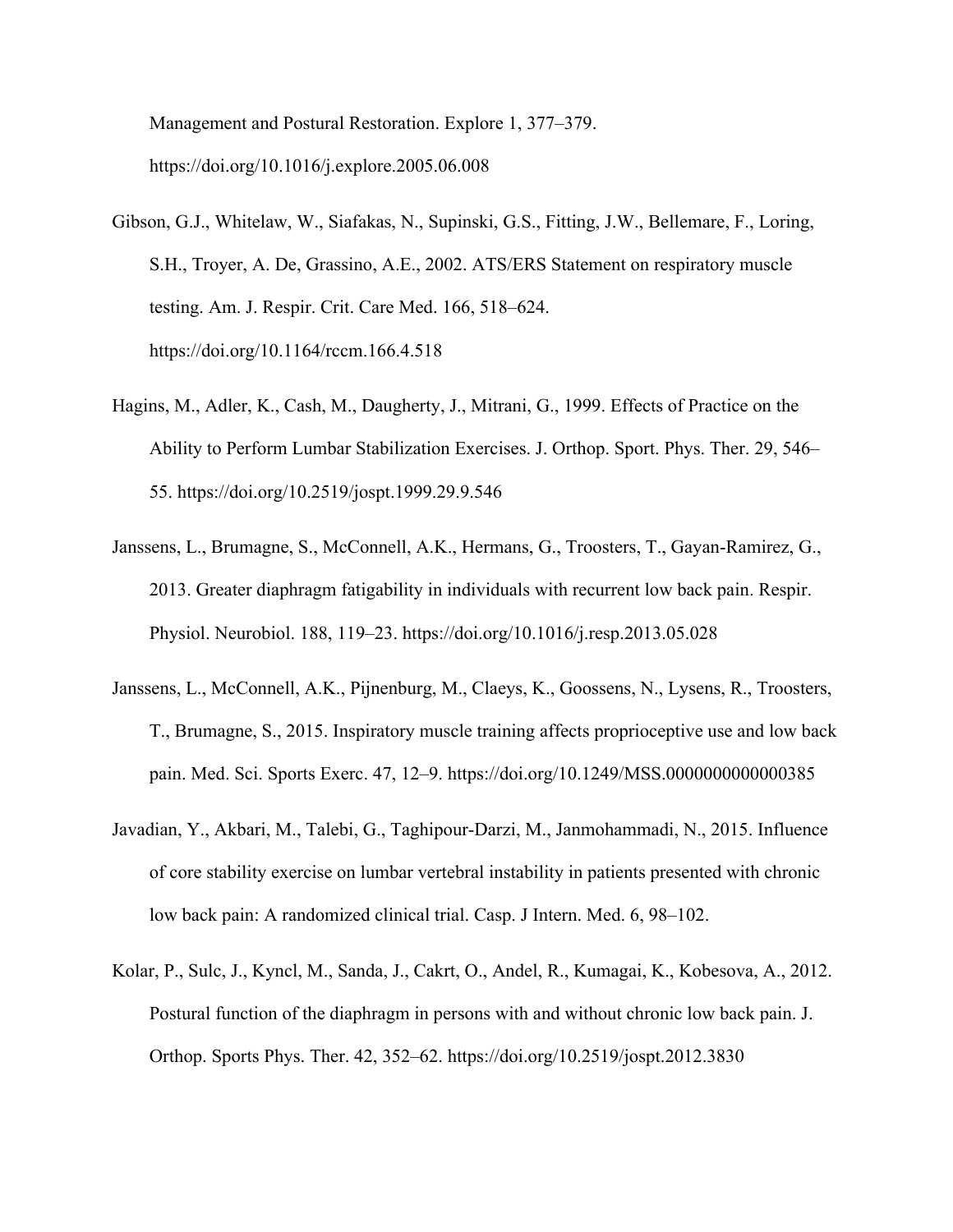Management and Postural Restoration. Explore 1, 377–379. https://doi.org/10.1016/j.explore.2005.06.008

- Gibson, G.J., Whitelaw, W., Siafakas, N., Supinski, G.S., Fitting, J.W., Bellemare, F., Loring, S.H., Troyer, A. De, Grassino, A.E., 2002. ATS/ERS Statement on respiratory muscle testing. Am. J. Respir. Crit. Care Med. 166, 518–624. https://doi.org/10.1164/rccm.166.4.518
- Hagins, M., Adler, K., Cash, M., Daugherty, J., Mitrani, G., 1999. Effects of Practice on the Ability to Perform Lumbar Stabilization Exercises. J. Orthop. Sport. Phys. Ther. 29, 546– 55. https://doi.org/10.2519/jospt.1999.29.9.546
- Janssens, L., Brumagne, S., McConnell, A.K., Hermans, G., Troosters, T., Gayan-Ramirez, G., 2013. Greater diaphragm fatigability in individuals with recurrent low back pain. Respir. Physiol. Neurobiol. 188, 119–23. https://doi.org/10.1016/j.resp.2013.05.028
- Janssens, L., McConnell, A.K., Pijnenburg, M., Claeys, K., Goossens, N., Lysens, R., Troosters, T., Brumagne, S., 2015. Inspiratory muscle training affects proprioceptive use and low back pain. Med. Sci. Sports Exerc. 47, 12–9. https://doi.org/10.1249/MSS.0000000000000385
- Javadian, Y., Akbari, M., Talebi, G., Taghipour-Darzi, M., Janmohammadi, N., 2015. Influence of core stability exercise on lumbar vertebral instability in patients presented with chronic low back pain: A randomized clinical trial. Casp. J Intern. Med. 6, 98–102.
- Kolar, P., Sulc, J., Kyncl, M., Sanda, J., Cakrt, O., Andel, R., Kumagai, K., Kobesova, A., 2012. Postural function of the diaphragm in persons with and without chronic low back pain. J. Orthop. Sports Phys. Ther. 42, 352–62. https://doi.org/10.2519/jospt.2012.3830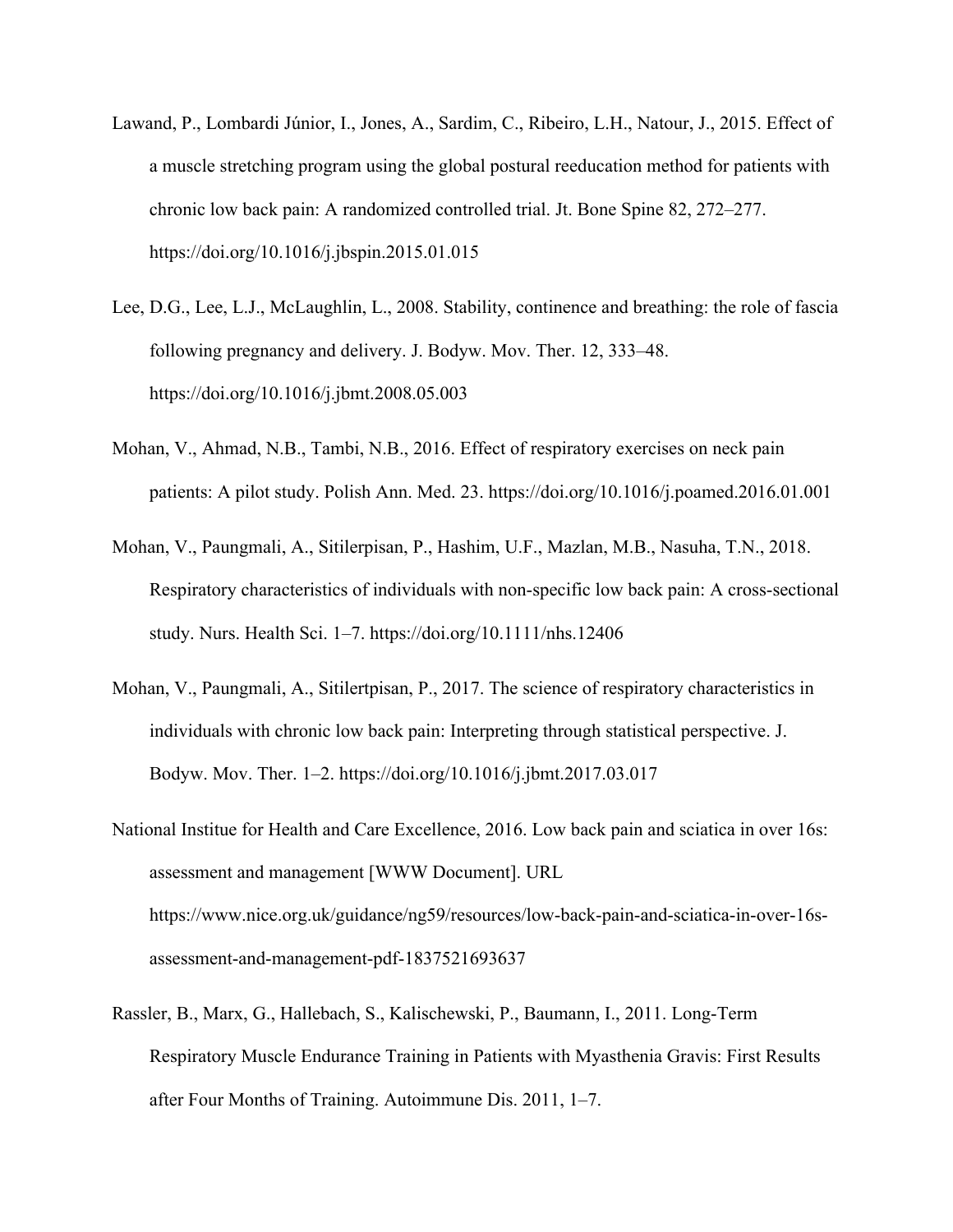- Lawand, P., Lombardi Júnior, I., Jones, A., Sardim, C., Ribeiro, L.H., Natour, J., 2015. Effect of a muscle stretching program using the global postural reeducation method for patients with chronic low back pain: A randomized controlled trial. Jt. Bone Spine 82, 272–277. https://doi.org/10.1016/j.jbspin.2015.01.015
- Lee, D.G., Lee, L.J., McLaughlin, L., 2008. Stability, continence and breathing: the role of fascia following pregnancy and delivery. J. Bodyw. Mov. Ther. 12, 333–48. https://doi.org/10.1016/j.jbmt.2008.05.003
- Mohan, V., Ahmad, N.B., Tambi, N.B., 2016. Effect of respiratory exercises on neck pain patients: A pilot study. Polish Ann. Med. 23. https://doi.org/10.1016/j.poamed.2016.01.001
- Mohan, V., Paungmali, A., Sitilerpisan, P., Hashim, U.F., Mazlan, M.B., Nasuha, T.N., 2018. Respiratory characteristics of individuals with non-specific low back pain: A cross-sectional study. Nurs. Health Sci. 1–7. https://doi.org/10.1111/nhs.12406
- Mohan, V., Paungmali, A., Sitilertpisan, P., 2017. The science of respiratory characteristics in individuals with chronic low back pain: Interpreting through statistical perspective. J. Bodyw. Mov. Ther. 1–2. https://doi.org/10.1016/j.jbmt.2017.03.017
- National Institue for Health and Care Excellence, 2016. Low back pain and sciatica in over 16s: assessment and management [WWW Document]. URL https://www.nice.org.uk/guidance/ng59/resources/low-back-pain-and-sciatica-in-over-16sassessment-and-management-pdf-1837521693637
- Rassler, B., Marx, G., Hallebach, S., Kalischewski, P., Baumann, I., 2011. Long-Term Respiratory Muscle Endurance Training in Patients with Myasthenia Gravis: First Results after Four Months of Training. Autoimmune Dis. 2011, 1–7.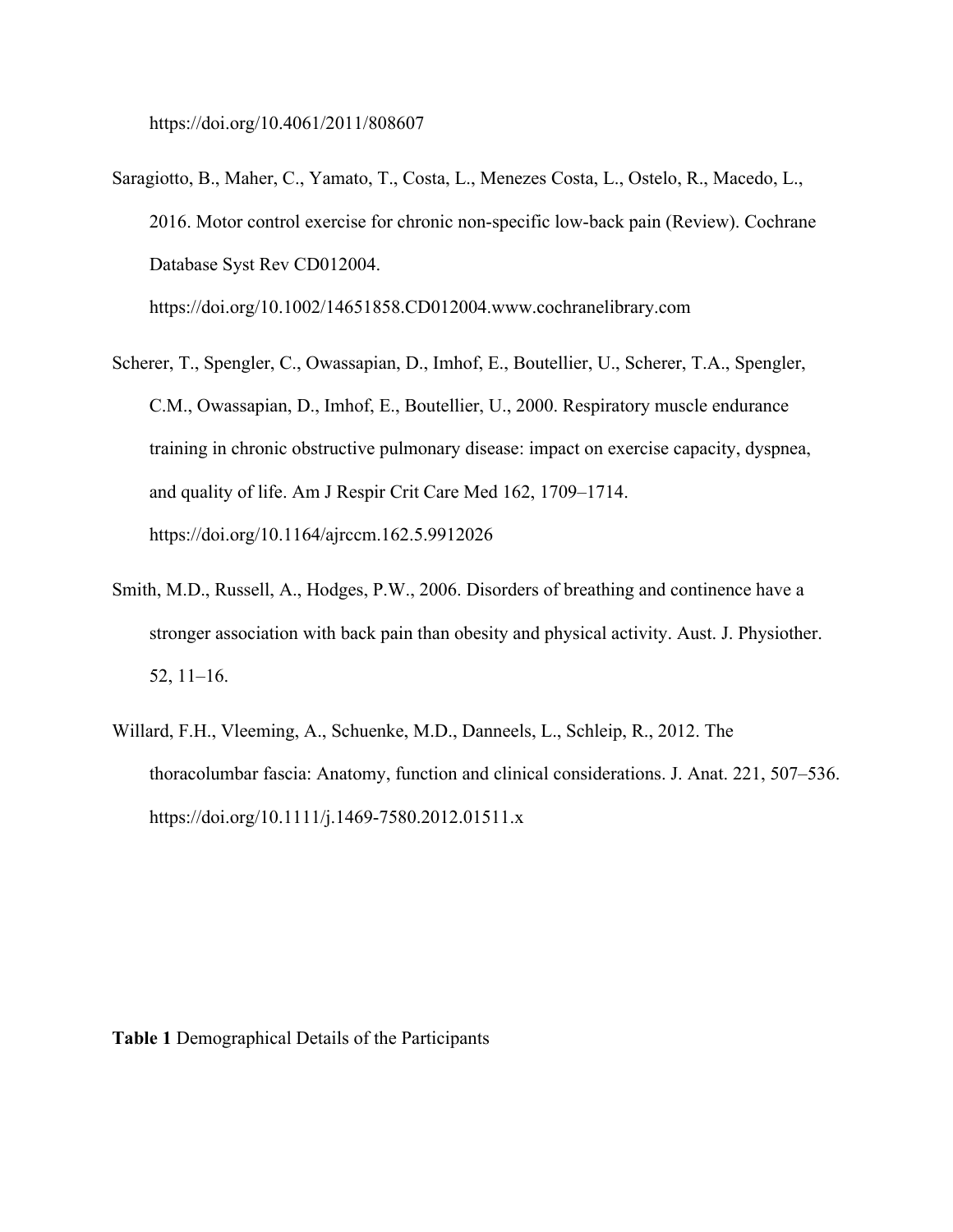https://doi.org/10.4061/2011/808607

Saragiotto, B., Maher, C., Yamato, T., Costa, L., Menezes Costa, L., Ostelo, R., Macedo, L., 2016. Motor control exercise for chronic non-specific low-back pain (Review). Cochrane Database Syst Rev CD012004.

https://doi.org/10.1002/14651858.CD012004.www.cochranelibrary.com

- Scherer, T., Spengler, C., Owassapian, D., Imhof, E., Boutellier, U., Scherer, T.A., Spengler, C.M., Owassapian, D., Imhof, E., Boutellier, U., 2000. Respiratory muscle endurance training in chronic obstructive pulmonary disease: impact on exercise capacity, dyspnea, and quality of life. Am J Respir Crit Care Med 162, 1709–1714. https://doi.org/10.1164/ajrccm.162.5.9912026
- Smith, M.D., Russell, A., Hodges, P.W., 2006. Disorders of breathing and continence have a stronger association with back pain than obesity and physical activity. Aust. J. Physiother. 52, 11–16.
- Willard, F.H., Vleeming, A., Schuenke, M.D., Danneels, L., Schleip, R., 2012. The thoracolumbar fascia: Anatomy, function and clinical considerations. J. Anat. 221, 507–536. https://doi.org/10.1111/j.1469-7580.2012.01511.x

**Table 1** Demographical Details of the Participants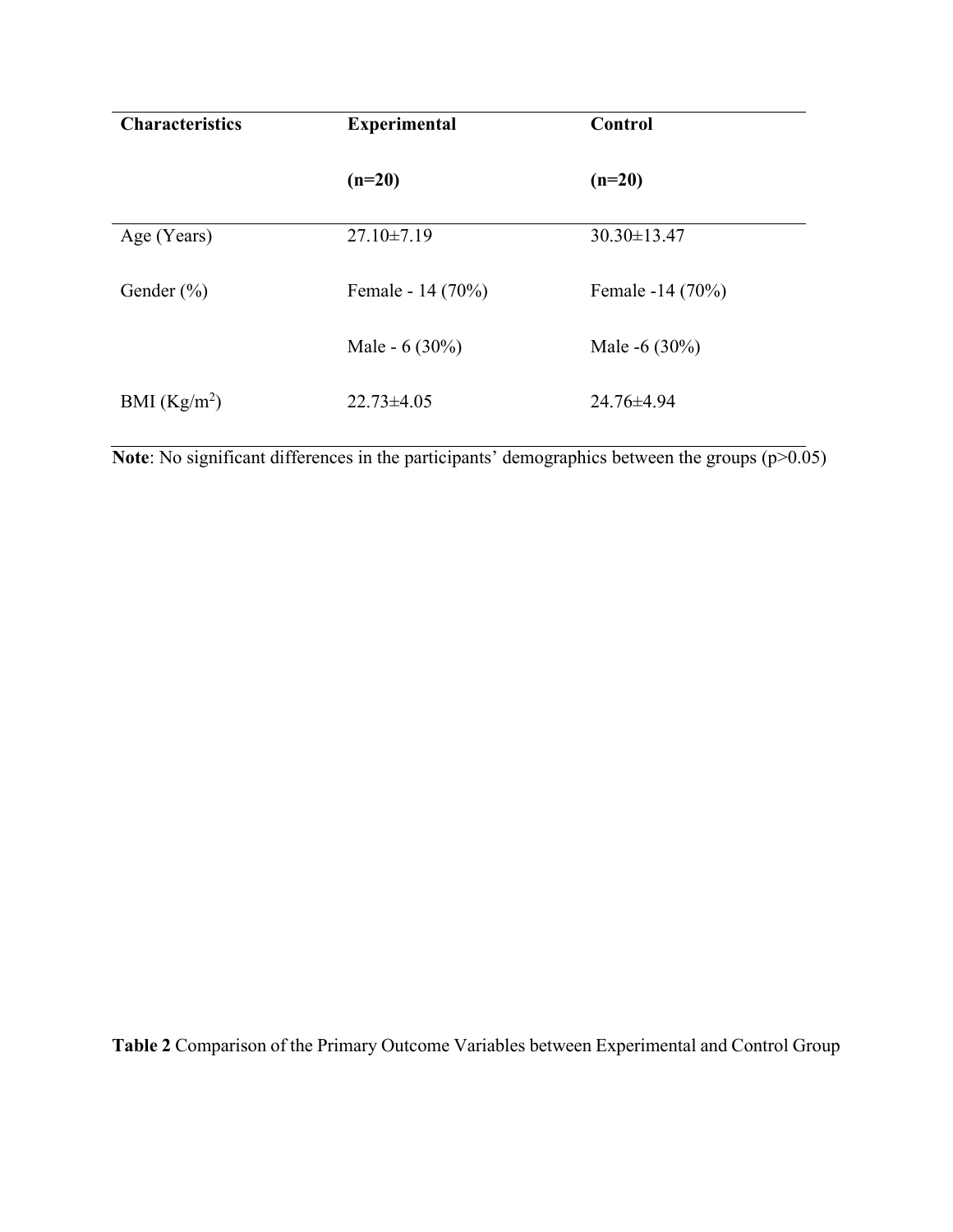| <b>Characteristics</b> | <b>Experimental</b> | Control          |  |
|------------------------|---------------------|------------------|--|
|                        | $(n=20)$            | $(n=20)$         |  |
| Age (Years)            | $27.10 \pm 7.19$    | 30.30±13.47      |  |
| Gender $(\% )$         | Female - 14 (70%)   | Female -14 (70%) |  |
|                        | Male - $6(30\%)$    | Male -6 $(30\%)$ |  |
| BMI $(Kg/m2)$          | $22.73\pm4.05$      | 24.76±4.94       |  |

**Note**: No significant differences in the participants' demographics between the groups (p>0.05)

**Table 2** Comparison of the Primary Outcome Variables between Experimental and Control Group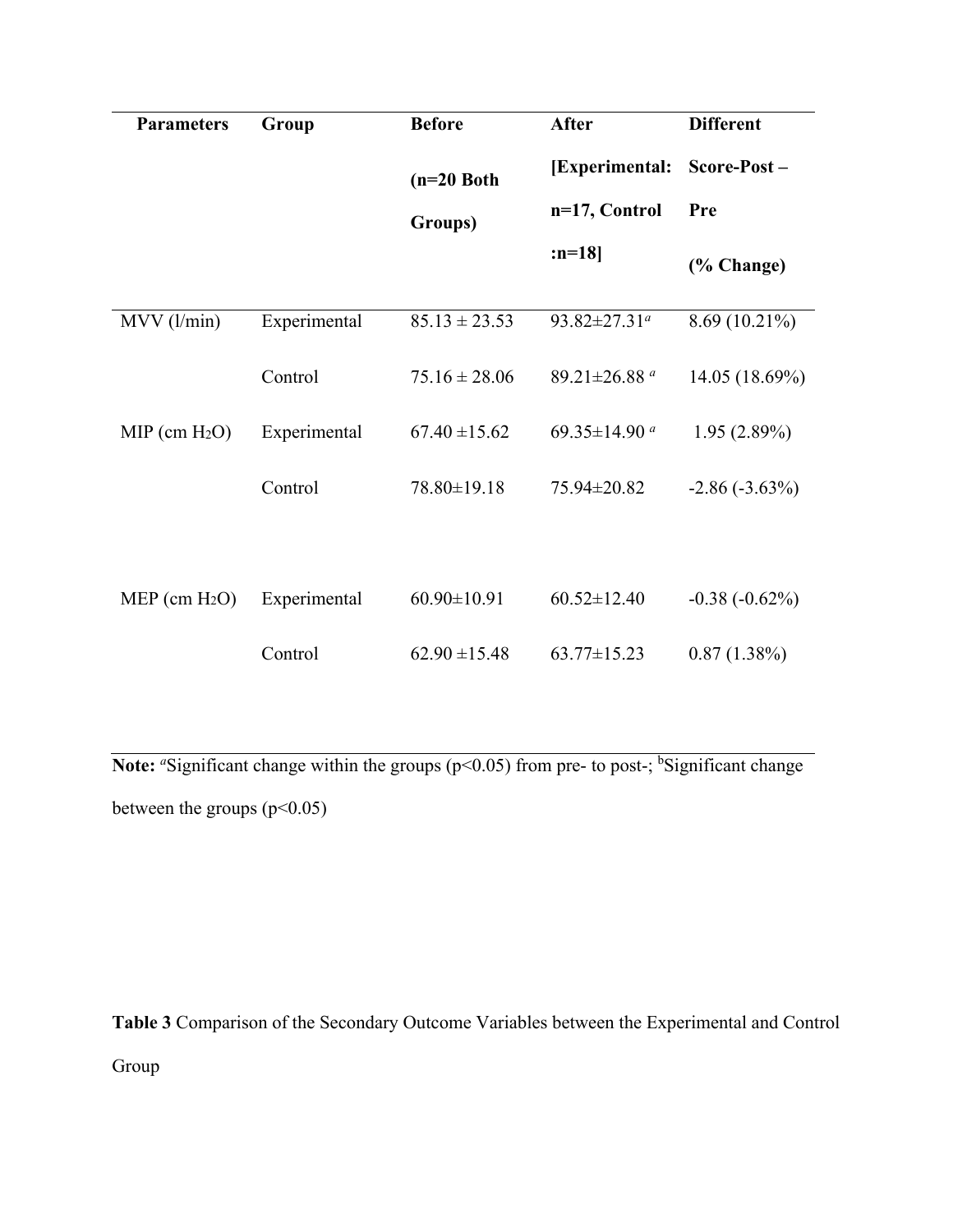| <b>Parameters</b>  | Group        | <b>Before</b>           | After                    | <b>Different</b> |
|--------------------|--------------|-------------------------|--------------------------|------------------|
|                    |              | $(n=20$ Both<br>Groups) | [Experimental:           | Score-Post-      |
|                    |              |                         | n=17, Control            | Pre              |
|                    |              |                         | :n=18]                   | (% Change)       |
| $MVV$ ( $l/min$ )  | Experimental | $85.13 \pm 23.53$       | 93.82±27.31 <sup>a</sup> | $8.69(10.21\%)$  |
|                    | Control      | $75.16 \pm 28.06$       | 89.21±26.88 <sup>a</sup> | 14.05 (18.69%)   |
| $MIP$ (cm $H_2O$ ) | Experimental | $67.40 \pm 15.62$       | 69.35±14.90 $a$          | $1.95(2.89\%)$   |
|                    | Control      | 78.80±19.18             | 75.94±20.82              | $-2.86(-3.63\%)$ |
|                    |              |                         |                          |                  |
| $MEP$ (cm $H_2O$ ) | Experimental | $60.90 \pm 10.91$       | $60.52 \pm 12.40$        | $-0.38(-0.62\%)$ |
|                    | Control      | $62.90 \pm 15.48$       | $63.77 \pm 15.23$        | $0.87(1.38\%)$   |

Note: <sup>a</sup>Significant change within the groups (p<0.05) from pre- to post-; <sup>b</sup>Significant change between the groups  $(p<0.05)$ 

**Table 3** Comparison of the Secondary Outcome Variables between the Experimental and Control Group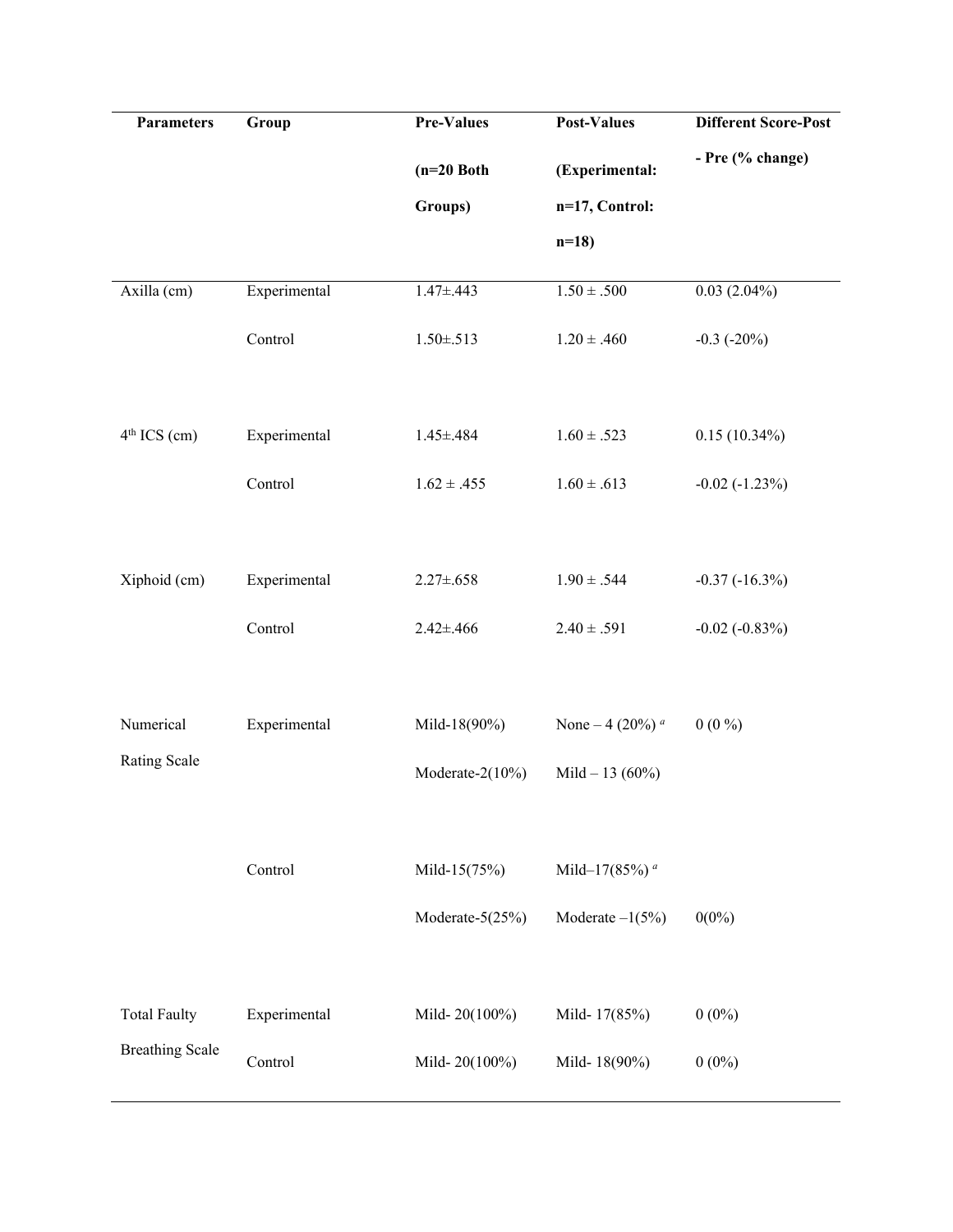| <b>Parameters</b>      | Group        | <b>Pre-Values</b> | <b>Post-Values</b>             | <b>Different Score-Post</b> |
|------------------------|--------------|-------------------|--------------------------------|-----------------------------|
|                        |              | $(n=20$ Both      | (Experimental:                 | - Pre (% change)            |
|                        |              | Groups)           | n=17, Control:                 |                             |
|                        |              |                   | $n=18$                         |                             |
| Axilla (cm)            | Experimental | $1.47 \pm .443$   | $1.50\pm .500$                 | $0.03(2.04\%)$              |
|                        | Control      | $1.50 \pm .513$   | $1.20 \pm .460$                | $-0.3$ $(-20\%)$            |
| $4th$ ICS (cm)         | Experimental | $1.45 \pm .484$   | $1.60 \pm .523$                | $0.15(10.34\%)$             |
|                        | Control      | $1.62 \pm .455$   | $1.60 \pm .613$                | $-0.02$ $(-1.23\%)$         |
| Xiphoid (cm)           | Experimental | $2.27 \pm .658$   | $1.90 \pm .544$                | $-0.37(-16.3\%)$            |
|                        | Control      | $2.42 \pm .466$   | $2.40 \pm .591$                | $-0.02$ $(-0.83\%)$         |
| Numerical              | Experimental | Mild-18(90%)      | None – 4 $(20\%)$ <sup>a</sup> | $0(0\%)$                    |
| Rating Scale           |              | Moderate-2(10%)   | Mild $-13(60\%)$               |                             |
|                        |              |                   |                                |                             |
|                        | Control      | Mild-15(75%)      | Mild-17(85%) <sup>a</sup>      |                             |
|                        |              | Moderate-5(25%)   | Moderate $-1(5\%)$             | $0(0\%)$                    |
| <b>Total Faulty</b>    | Experimental | Mild-20(100%)     | Mild-17(85%)                   | $0(0\%)$                    |
| <b>Breathing Scale</b> | Control      | Mild-20(100%)     | Mild-18(90%)                   | $0(0\%)$                    |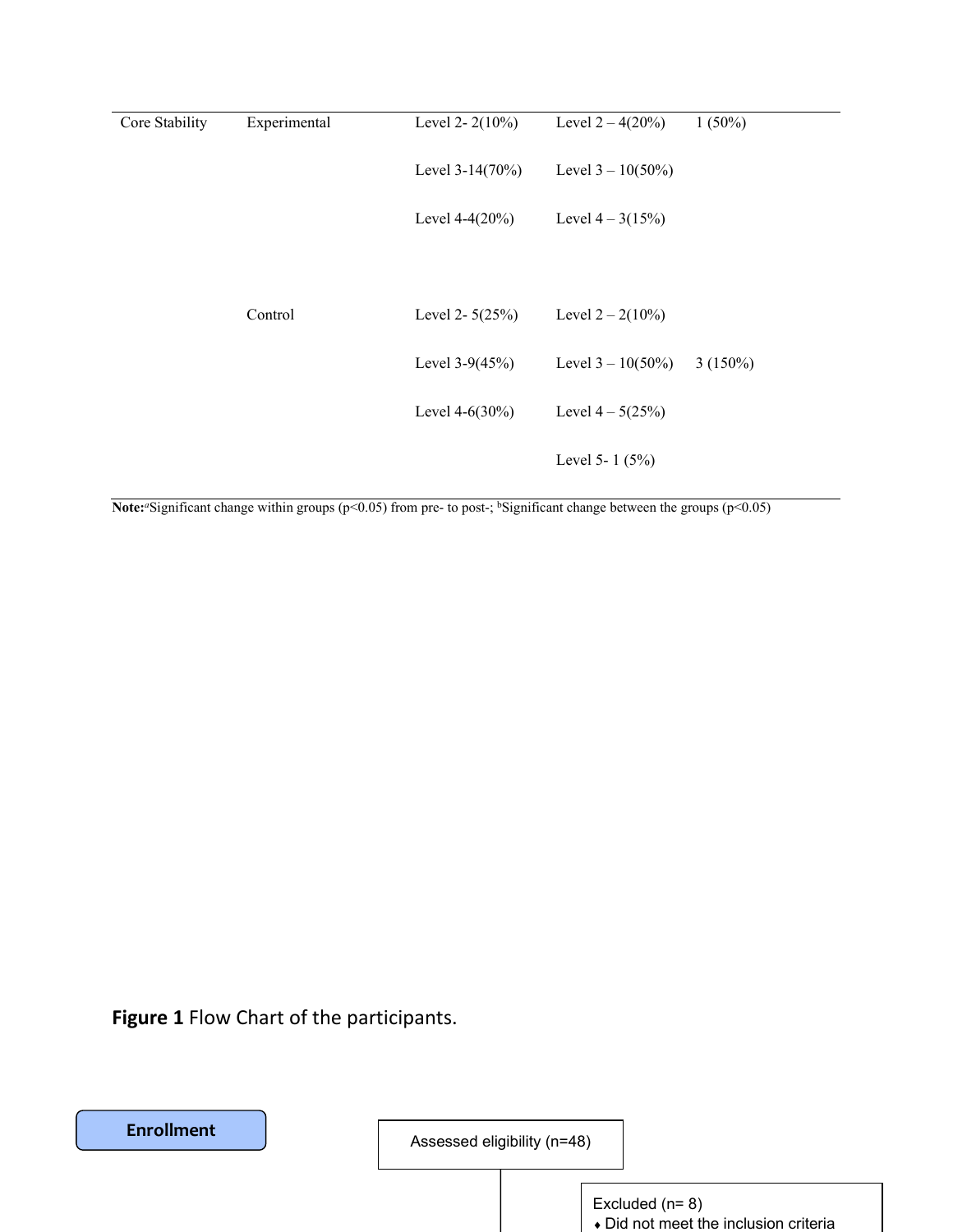| Core Stability | Experimental | Level 2- $2(10\%)$ | Level $2 - 4(20\%)$  | $1(50\%)$  |
|----------------|--------------|--------------------|----------------------|------------|
|                |              | Level $3-14(70%)$  | Level $3 - 10(50\%)$ |            |
|                |              | Level $4-4(20%)$   | Level $4 - 3(15\%)$  |            |
|                |              |                    |                      |            |
|                | Control      | Level 2- $5(25%)$  | Level $2 - 2(10\%)$  |            |
|                |              | Level $3-9(45%)$   | Level $3 - 10(50\%)$ | $3(150\%)$ |
|                |              | Level $4-6(30\%)$  | Level $4 - 5(25%)$   |            |
|                |              |                    | Level 5-1 $(5%)$     |            |

**Note:**<sup>*a*</sup>Significant change within groups (p<0.05) from pre- to post-; <sup>b</sup>Significant change between the groups (p<0.05)

**Figure 1** Flow Chart of the participants.

**Enrollment**

Assessed eligibility (n=48)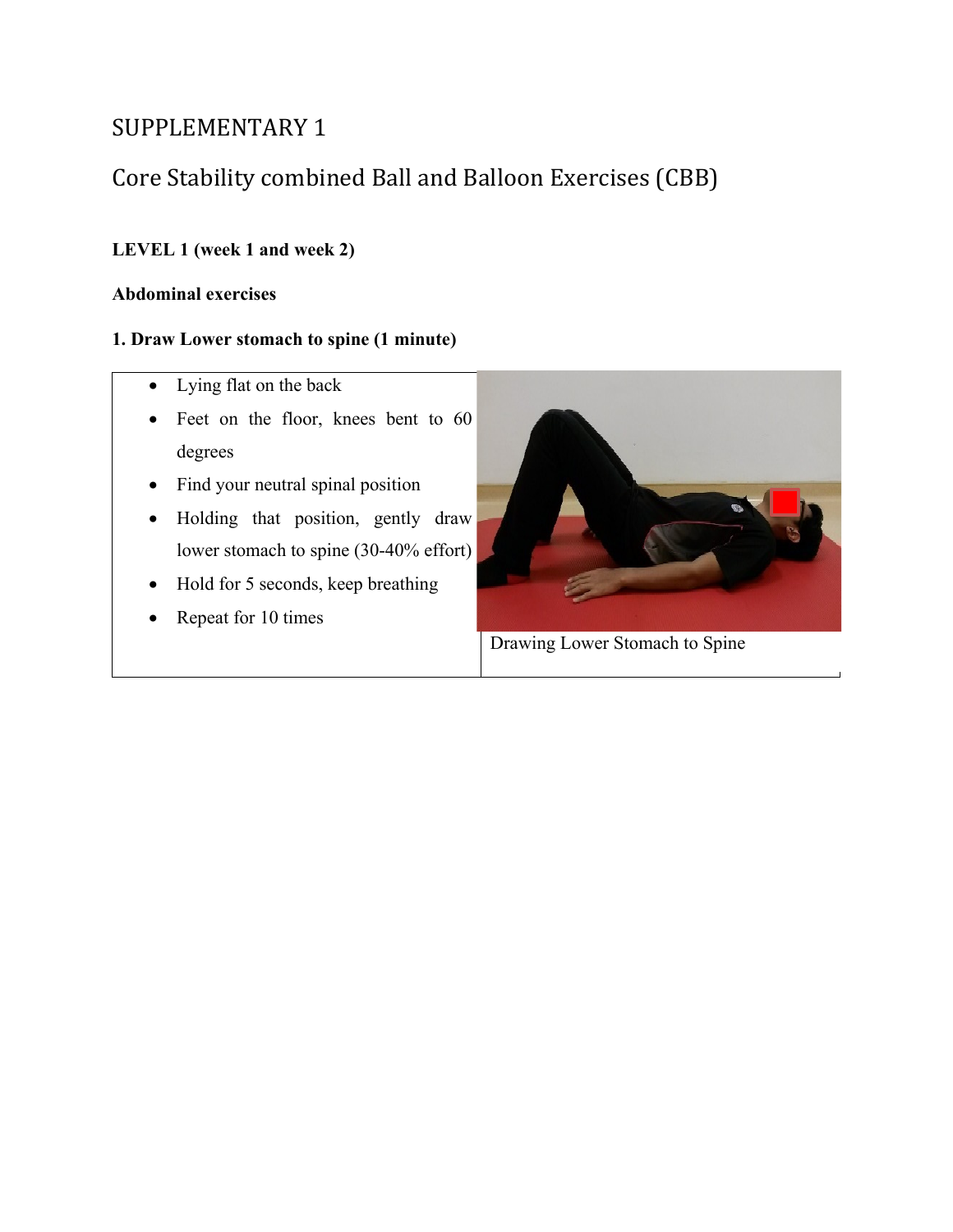# SUPPLEMENTARY 1

# Core Stability combined Ball and Balloon Exercises (CBB)

# **LEVEL 1 (week 1 and week 2)**

## **Abdominal exercises**

## **1. Draw Lower stomach to spine (1 minute)**

- Lying flat on the back
- Feet on the floor, knees bent to 60 degrees
- Find your neutral spinal position
- Holding that position, gently draw lower stomach to spine (30-40% effort)
- Hold for 5 seconds, keep breathing
- Repeat for 10 times



Drawing Lower Stomach to Spine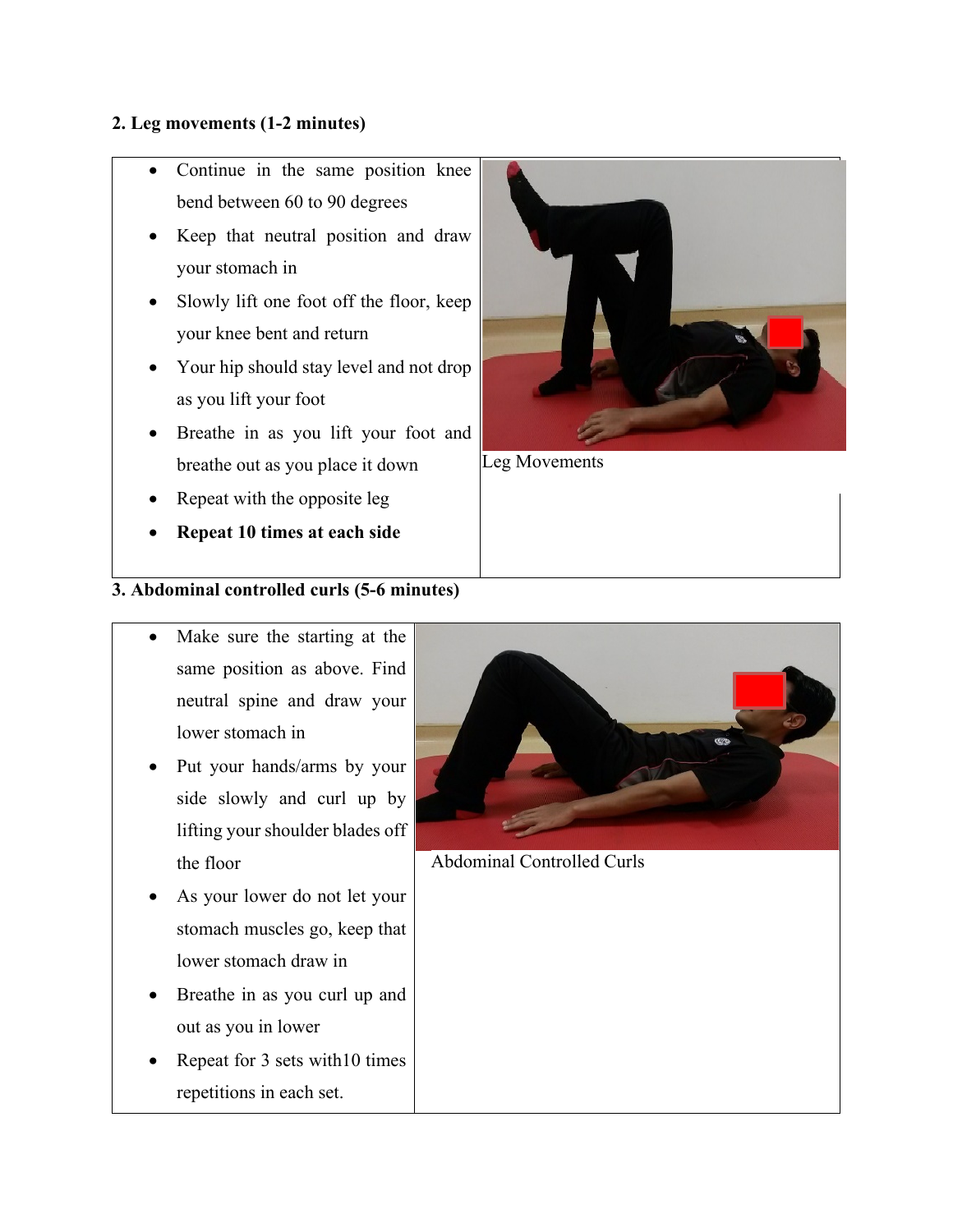## **2. Leg movements (1-2 minutes)**

- Continue in the same position knee bend between 60 to 90 degrees
- Keep that neutral position and draw your stomach in
- Slowly lift one foot off the floor, keep your knee bent and return
- Your hip should stay level and not drop as you lift your foot
- Breathe in as you lift your foot and breathe out as you place it down
- Repeat with the opposite leg
- **Repeat 10 times at each side**

## **3. Abdominal controlled curls (5-6 minutes)**

- Make sure the starting at the same position as above. Find neutral spine and draw your lower stomach in
- Put your hands/arms by your side slowly and curl up by lifting your shoulder blades off the floor
- As your lower do not let your stomach muscles go, keep that lower stomach draw in
- Breathe in as you curl up and out as you in lower
- Repeat for 3 sets with 10 times repetitions in each set.



Leg Movements



Abdominal Controlled Curls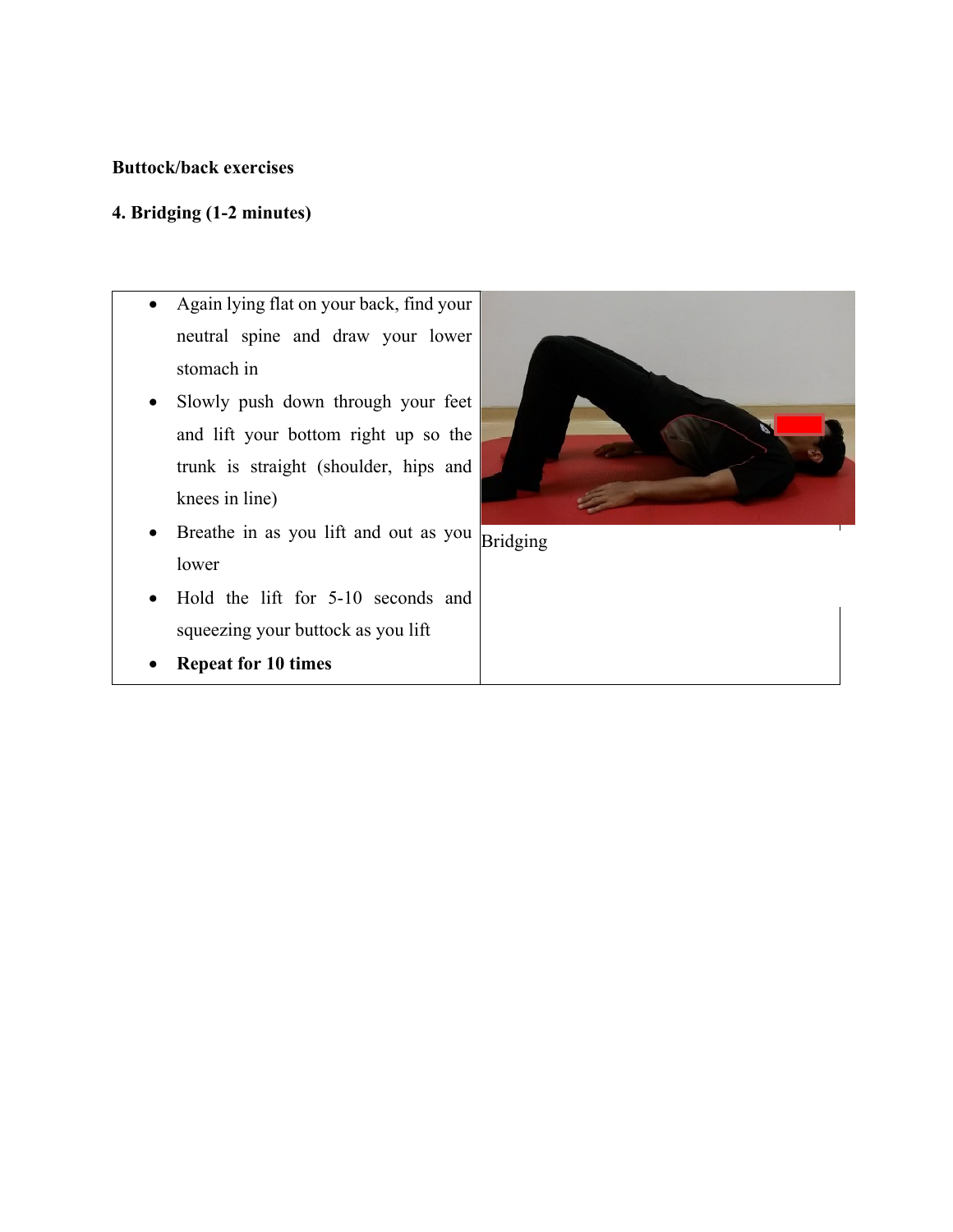## **Buttock/back exercises**

## **4. Bridging (1-2 minutes)**

- Again lying flat on your back, find your neutral spine and draw your lower stomach in
- Slowly push down through your feet and lift your bottom right up so the trunk is straight (shoulder, hips and knees in line)
- Breathe in as you lift and out as you  $\boxed{\text{Bridging}}$ lower
- Hold the lift for 5-10 seconds and squeezing your buttock as you lift
- **Repeat for 10 times**

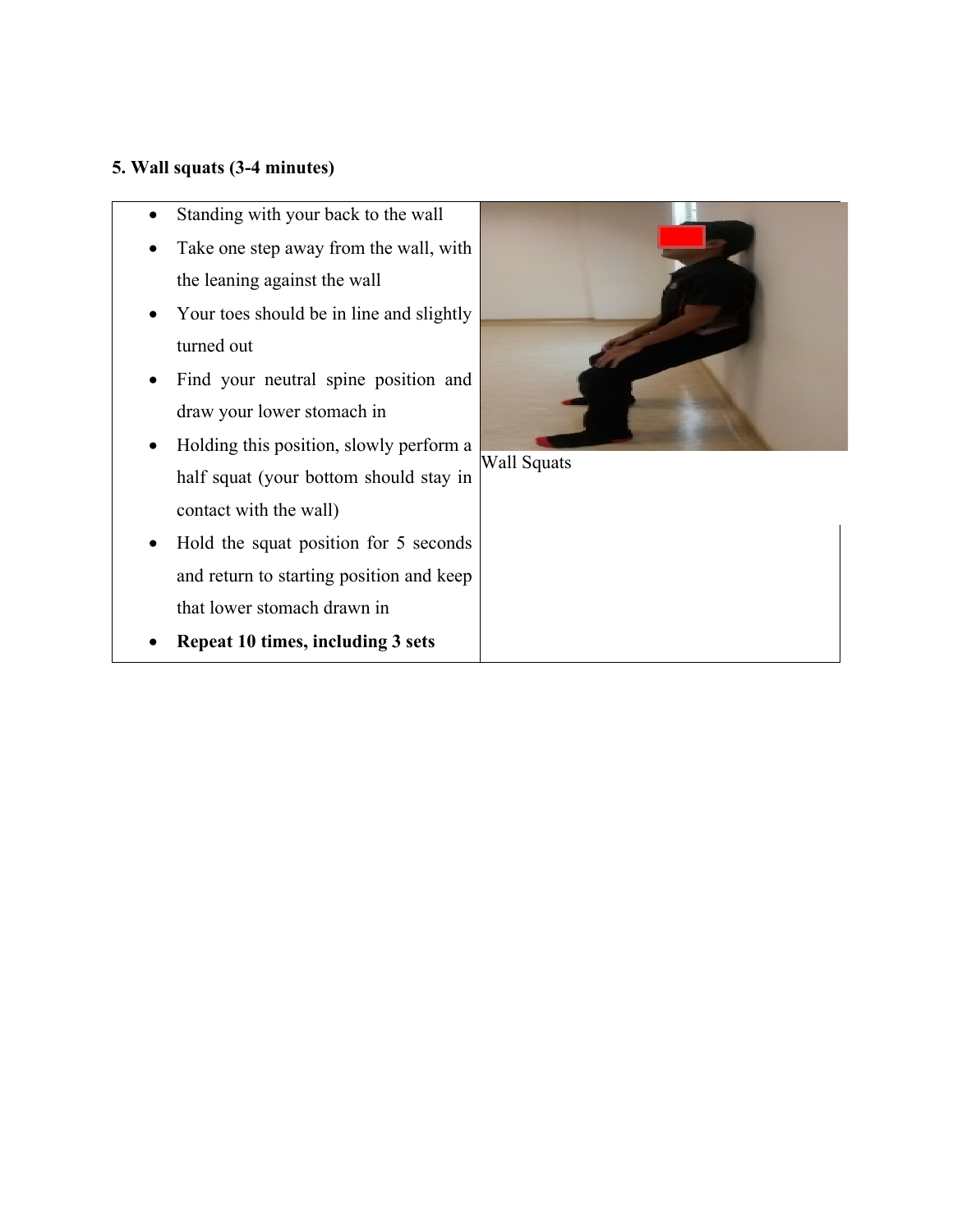## **5. Wall squats (3-4 minutes)**

- Standing with your back to the wall
- Take one step away from the wall, with the leaning against the wall
- Your toes should be in line and slightly turned out
- Find your neutral spine position and draw your lower stomach in
- Holding this position, slowly perform a half squat (your bottom should stay in contact with the wall)
- Hold the squat position for 5 seconds and return to starting position and keep that lower stomach drawn in
- **Repeat 10 times, including 3 sets**



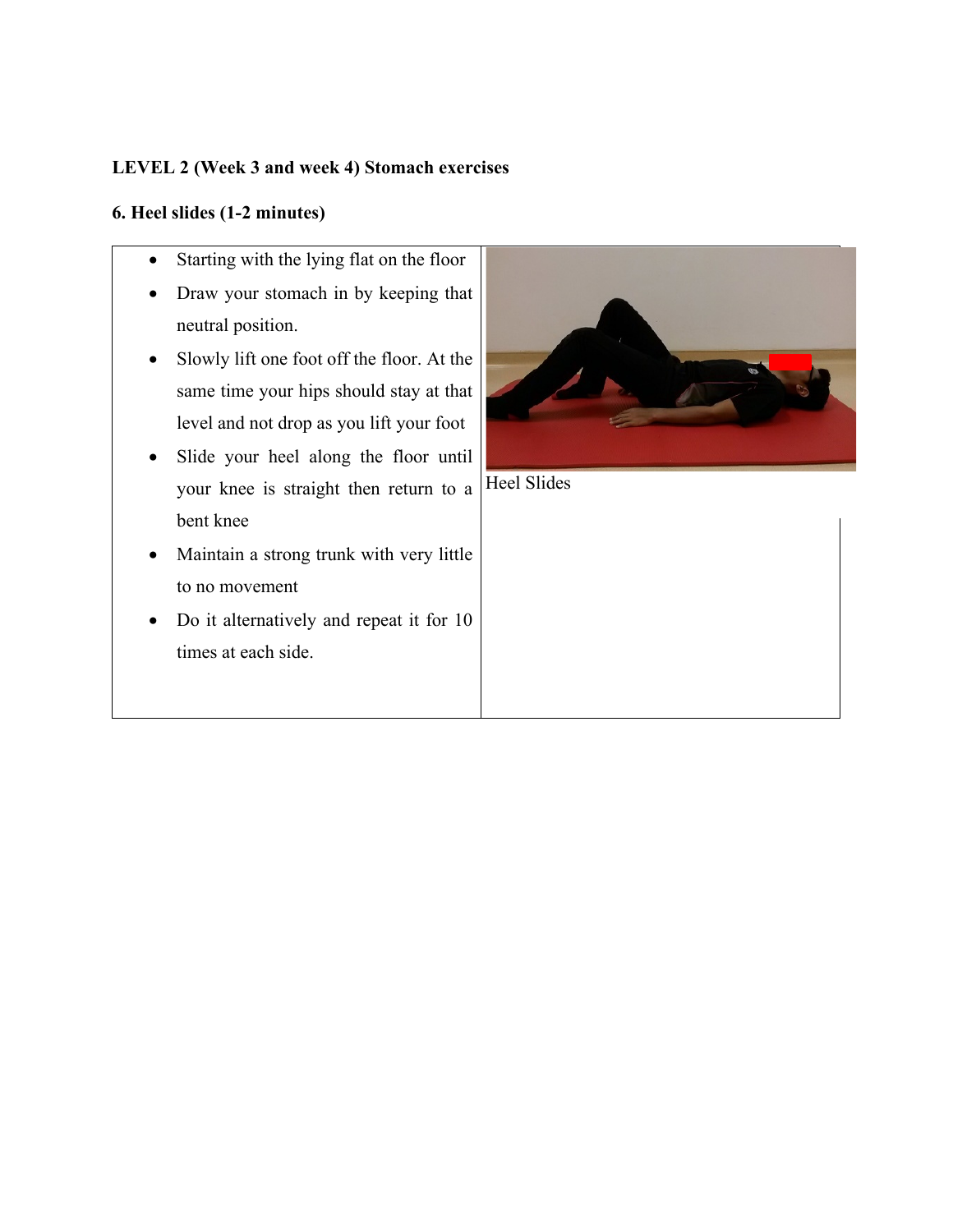## **LEVEL 2 (Week 3 and week 4) Stomach exercises**

## **6. Heel slides (1-2 minutes)**

- Starting with the lying flat on the floor
- Draw your stomach in by keeping that neutral position.
- Slowly lift one foot off the floor. At the same time your hips should stay at that level and not drop as you lift your foot
- Slide your heel along the floor until your knee is straight then return to a bent knee
- Maintain a strong trunk with very little to no movement
- Do it alternatively and repeat it for 10 times at each side.



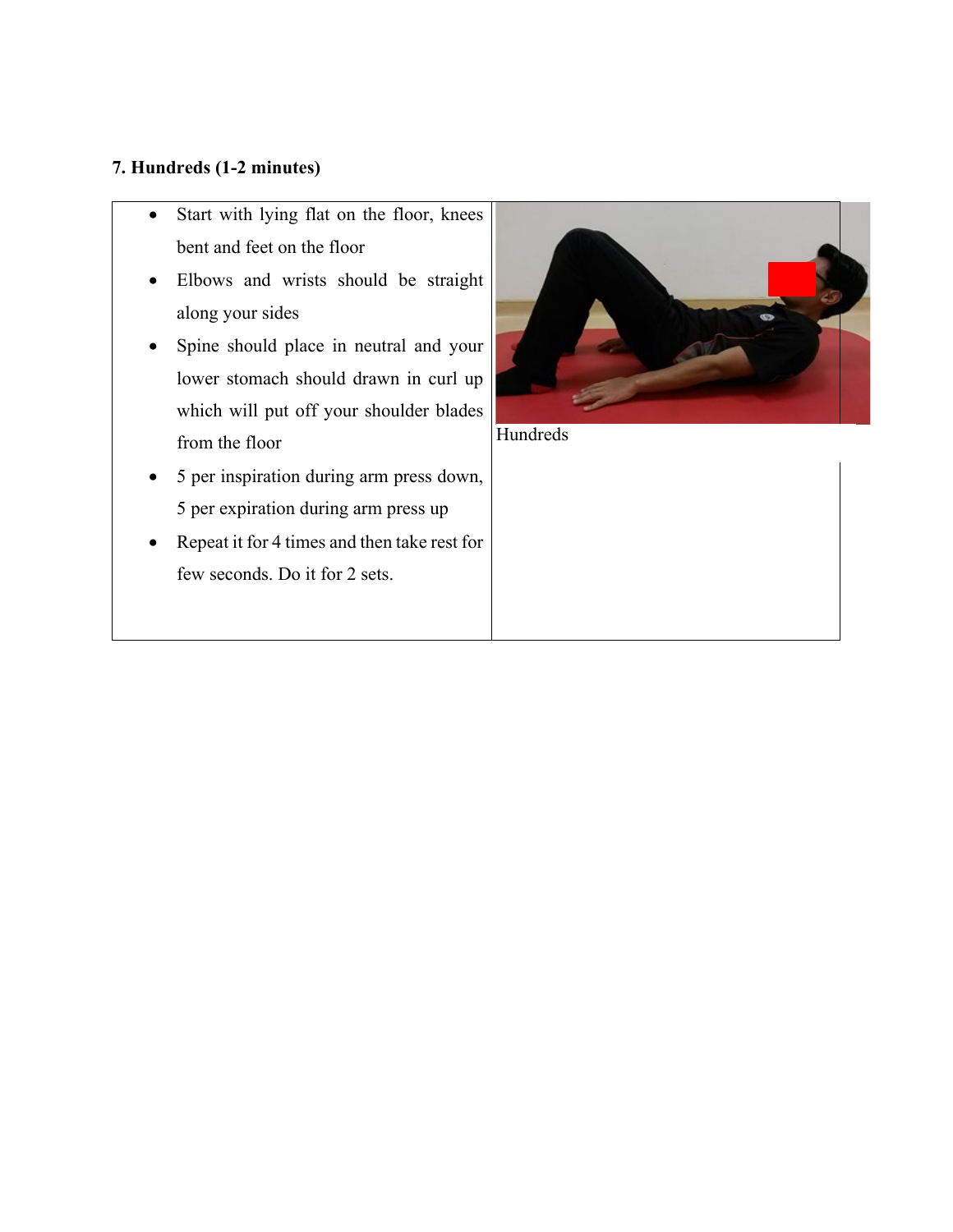## **7. Hundreds (1-2 minutes)**

- Start with lying flat on the floor, knees bent and feet on the floor
- Elbows and wrists should be straight along your sides
- Spine should place in neutral and your lower stomach should drawn in curl up which will put off your shoulder blades from the floor
- 5 per inspiration during arm press down, 5 per expiration during arm press up
- Repeat it for 4 times and then take rest for few seconds. Do it for 2 sets.



Hundreds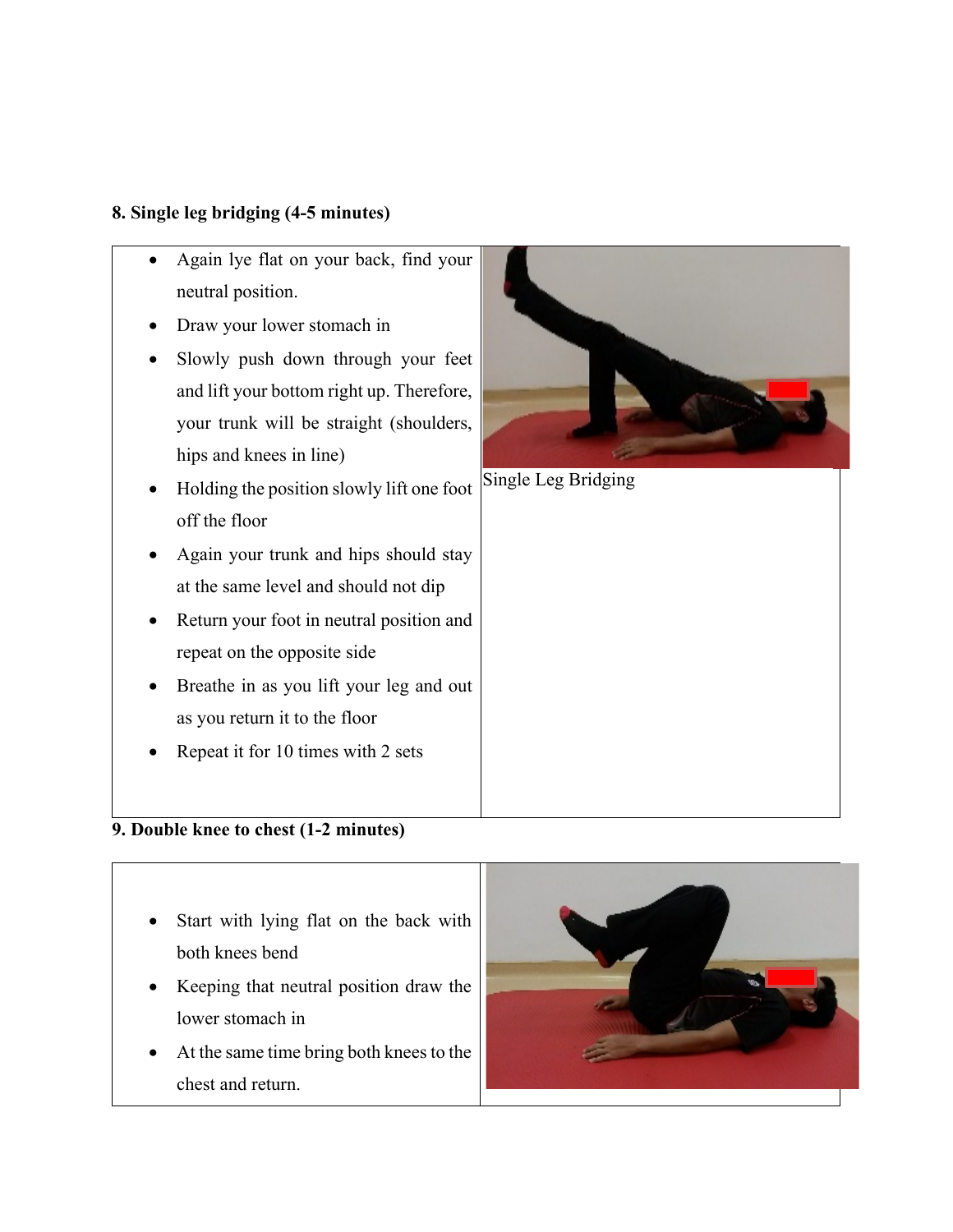## **8. Single leg bridging (4-5 minutes)**

- Again lye flat on your back, find your neutral position.
- Draw your lower stomach in
- Slowly push down through your feet and lift your bottom right up. Therefore, your trunk will be straight (shoulders, hips and knees in line)
- Holding the position slowly lift one foot off the floor
- Again your trunk and hips should stay at the same level and should not dip
- Return your foot in neutral position and repeat on the opposite side
- Breathe in as you lift your leg and out as you return it to the floor
- Repeat it for 10 times with 2 sets

# **9. Double knee to chest (1-2 minutes)**

- Start with lying flat on the back with both knees bend
- Keeping that neutral position draw the lower stomach in
- At the same time bring both knees to the chest and return.





Single Leg Bridging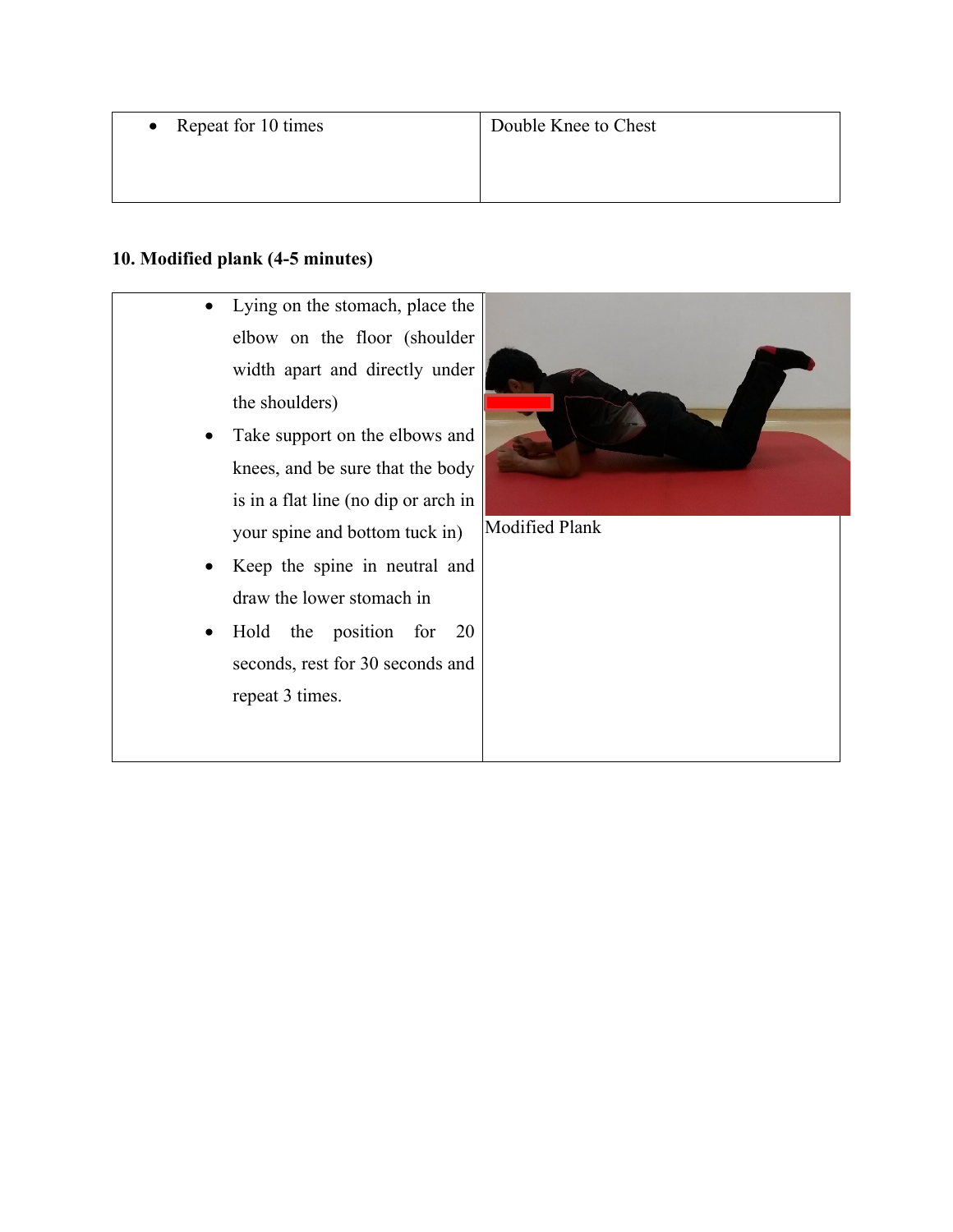• Repeat for 10 times

## **10. Modified plank (4-5 minutes)**

- Lying on the stomach, place the elbow on the floor (shoulder width apart and directly under the shoulders)
- Take support on the elbows and knees, and be sure that the body is in a flat line (no dip or arch in your spine and bottom tuck in)
- Keep the spine in neutral and draw the lower stomach in
- Hold the position for 20 seconds, rest for 30 seconds and repeat 3 times.



Modified Plank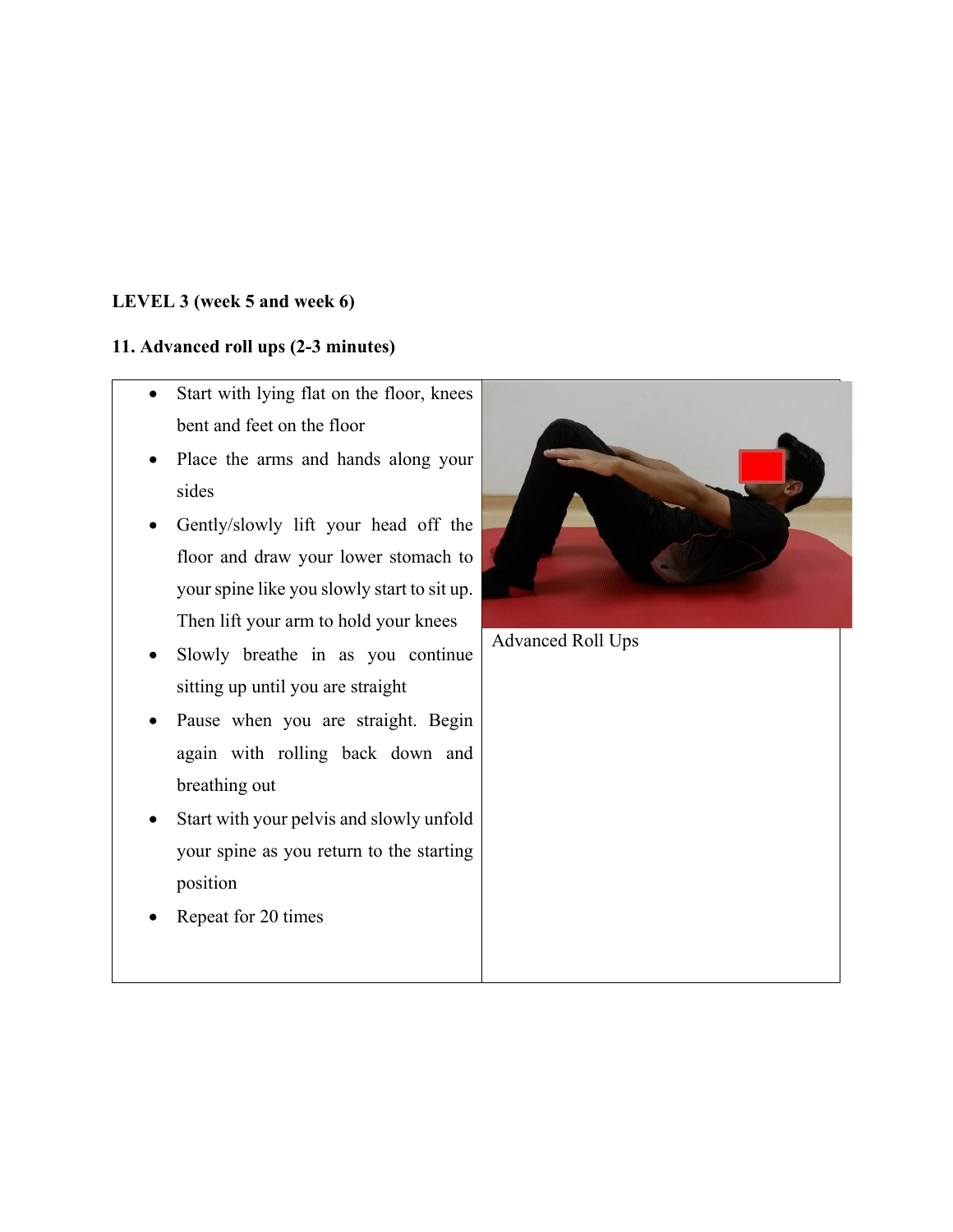## **LEVEL 3 (week 5 and week 6)**

## **11. Advanced roll ups (2-3 minutes)**

- Start with lying flat on the floor, knees bent and feet on the floor
- Place the arms and hands along your sides
- Gently/slowly lift your head off the floor and draw your lower stomach to your spine like you slowly start to sit up. Then lift your arm to hold your knees
- Slowly breathe in as you continue sitting up until you are straight
- Pause when you are straight. Begin again with rolling back down and breathing out
- Start with your pelvis and slowly unfold your spine as you return to the starting position
- Repeat for 20 times

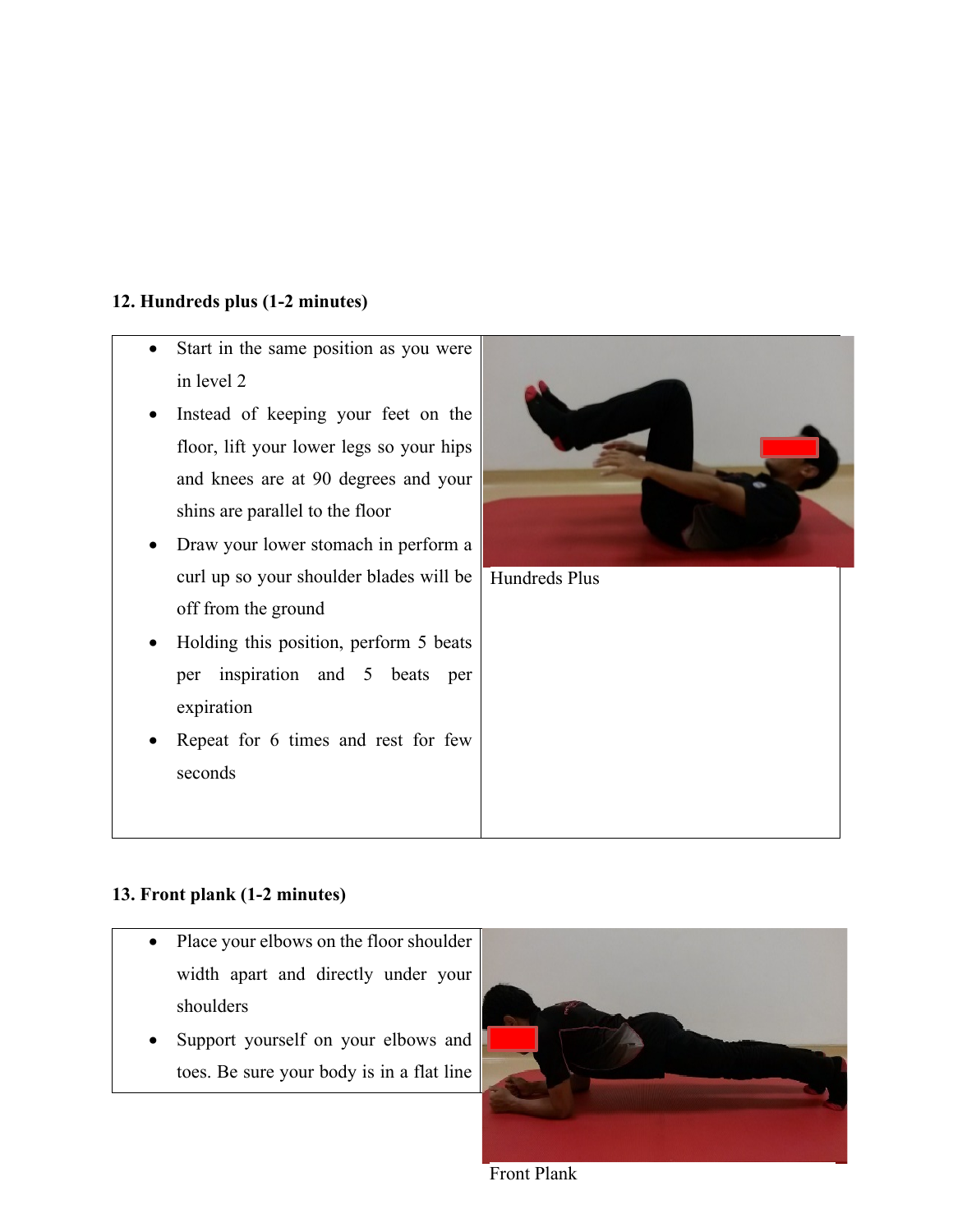## **12. Hundreds plus (1-2 minutes)**

- Start in the same position as you were in level 2
- Instead of keeping your feet on the floor, lift your lower legs so your hips and knees are at 90 degrees and your shins are parallel to the floor
- Draw your lower stomach in perform a curl up so your shoulder blades will be off from the ground
- Holding this position, perform 5 beats per inspiration and 5 beats per expiration
- Repeat for 6 times and rest for few seconds



Hundreds Plus

## **13. Front plank (1-2 minutes)**

- Place your elbows on the floor shoulder width apart and directly under your shoulders
- Support yourself on your elbows and toes. Be sure your body is in a flat line



Front Plank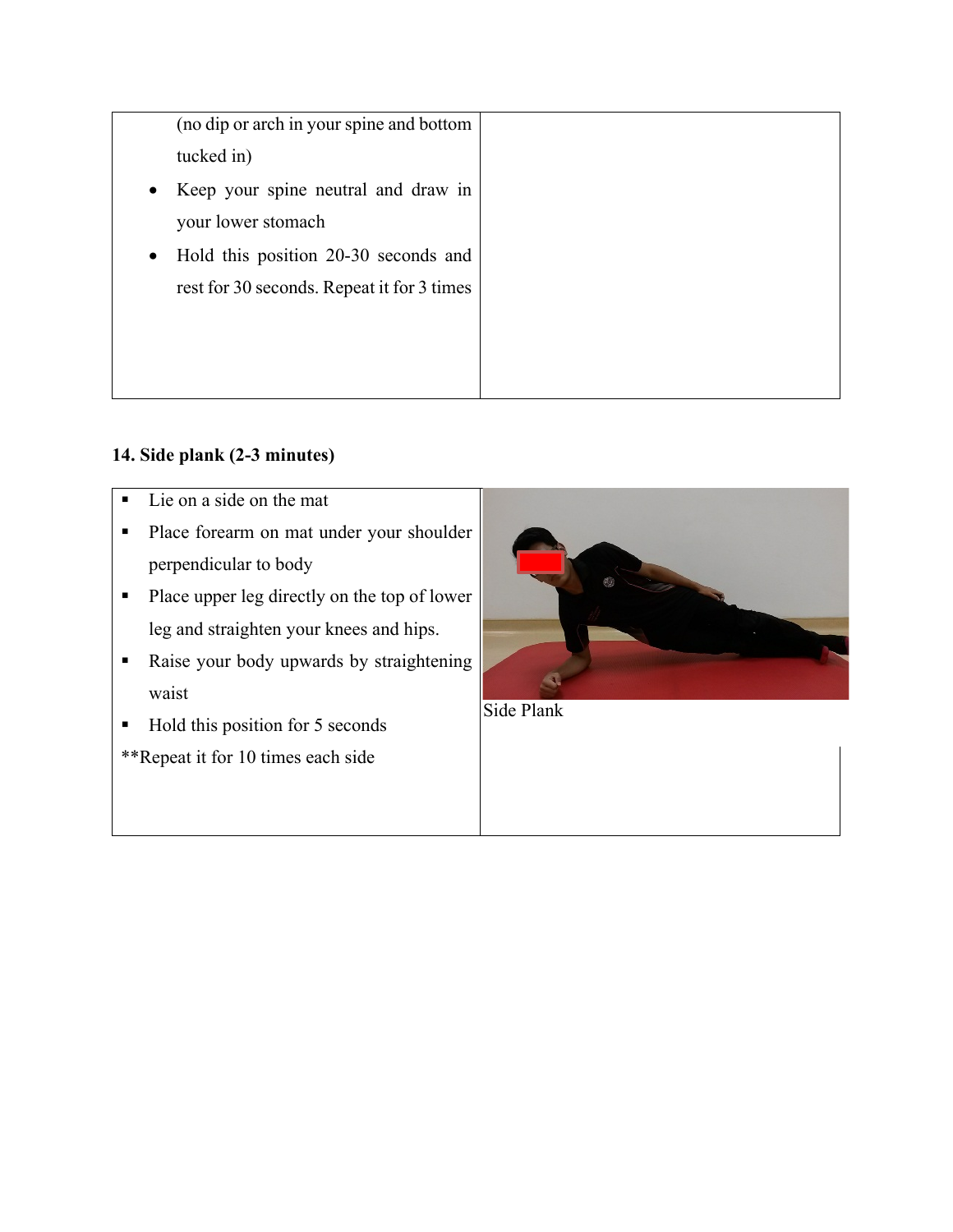(no dip or arch in your spine and bottom tucked in)

- Keep your spine neutral and draw in your lower stomach
- Hold this position 20-30 seconds and rest for 30 seconds. Repeat it for 3 times

# **14. Side plank (2-3 minutes)**

- Lie on a side on the mat
- **Place forearm on mat under your shoulder** perpendicular to body
- Place upper leg directly on the top of lower leg and straighten your knees and hips.
- Raise your body upwards by straightening waist
- Hold this position for 5 seconds

\*\*Repeat it for 10 times each side



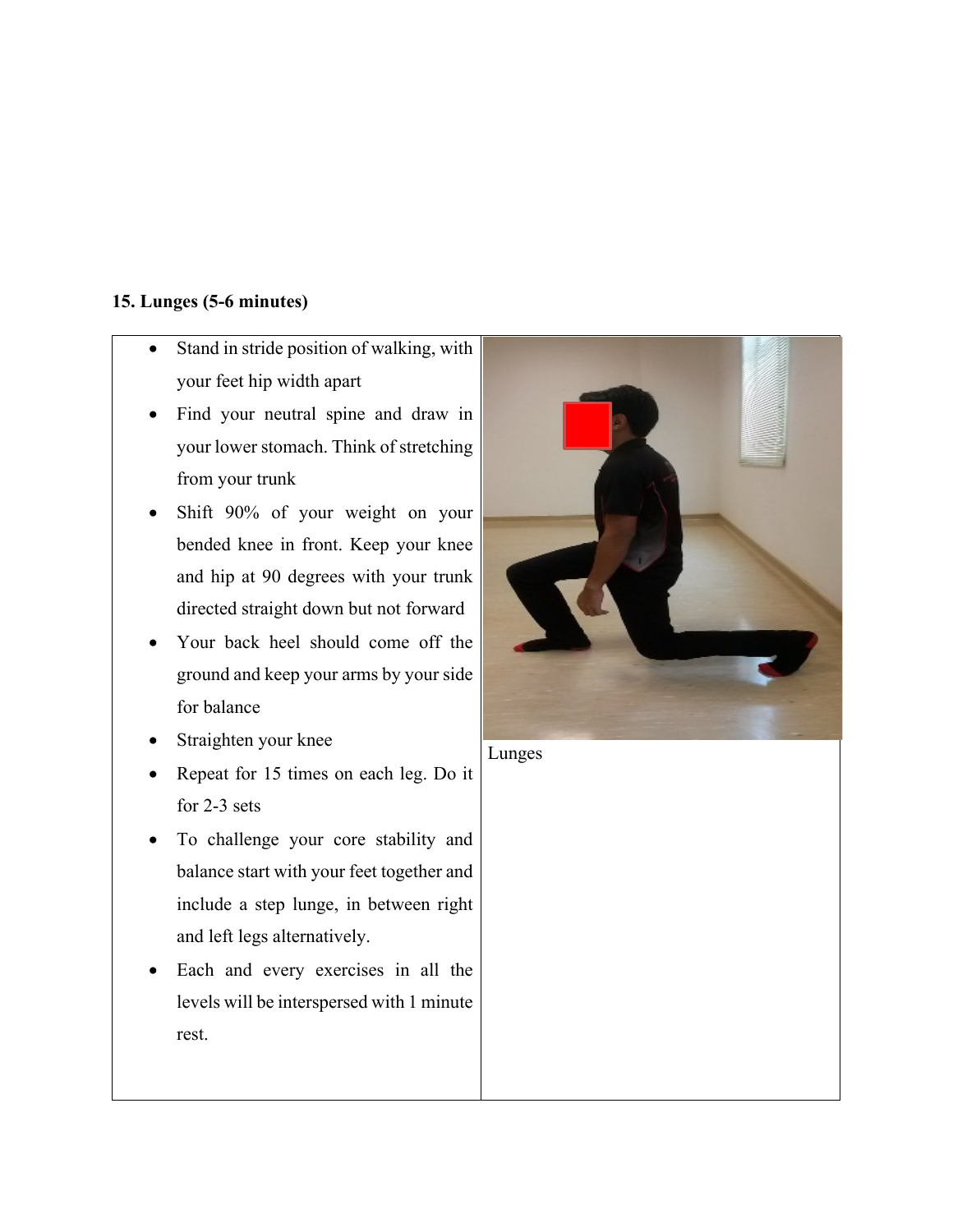## **15. Lunges (5-6 minutes)**

- Stand in stride position of walking, with your feet hip width apart
- Find your neutral spine and draw in your lower stomach. Think of stretching from your trunk
- Shift 90% of your weight on your bended knee in front. Keep your knee and hip at 90 degrees with your trunk directed straight down but not forward
- Your back heel should come off the ground and keep your arms by your side for balance
- Straighten your knee
- Repeat for 15 times on each leg. Do it for 2-3 sets
- To challenge your core stability and balance start with your feet together and include a step lunge, in between right and left legs alternatively.
- Each and every exercises in all the levels will be interspersed with 1 minute rest.



Lunges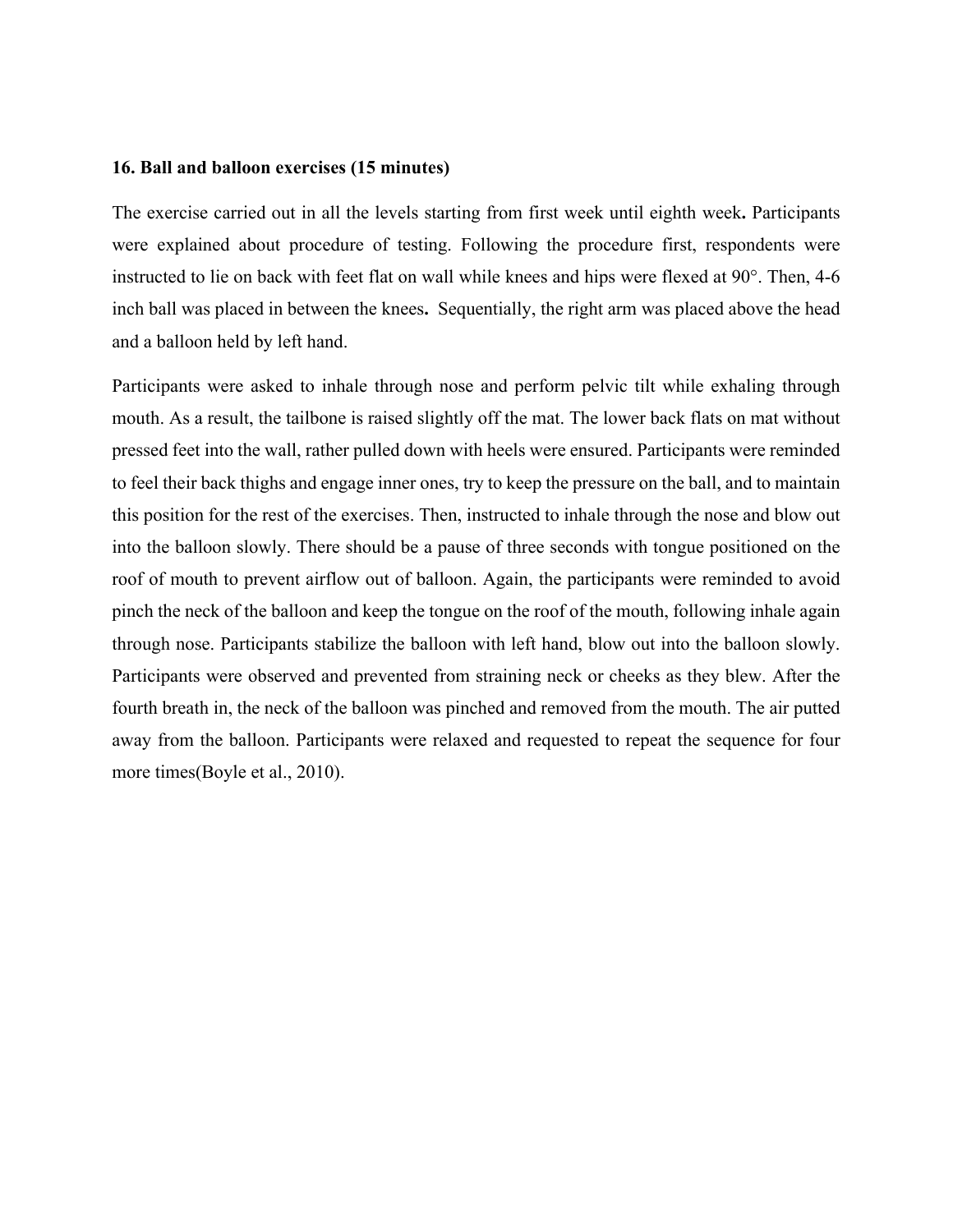#### **16. Ball and balloon exercises (15 minutes)**

The exercise carried out in all the levels starting from first week until eighth week**.** Participants were explained about procedure of testing. Following the procedure first, respondents were instructed to lie on back with feet flat on wall while knees and hips were flexed at 90°. Then, 4-6 inch ball was placed in between the knees**.** Sequentially, the right arm was placed above the head and a balloon held by left hand.

Participants were asked to inhale through nose and perform pelvic tilt while exhaling through mouth. As a result, the tailbone is raised slightly off the mat. The lower back flats on mat without pressed feet into the wall, rather pulled down with heels were ensured. Participants were reminded to feel their back thighs and engage inner ones, try to keep the pressure on the ball, and to maintain this position for the rest of the exercises. Then, instructed to inhale through the nose and blow out into the balloon slowly. There should be a pause of three seconds with tongue positioned on the roof of mouth to prevent airflow out of balloon. Again, the participants were reminded to avoid pinch the neck of the balloon and keep the tongue on the roof of the mouth, following inhale again through nose. Participants stabilize the balloon with left hand, blow out into the balloon slowly. Participants were observed and prevented from straining neck or cheeks as they blew. After the fourth breath in, the neck of the balloon was pinched and removed from the mouth. The air putted away from the balloon. Participants were relaxed and requested to repeat the sequence for four more times(Boyle et al., 2010).